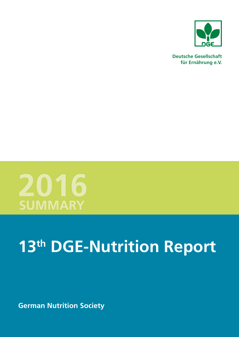

**Deutsche Gesellschaft für Ernährung e.V.**



# **13th DGE-Nutrition Report**

**German Nutrition Society**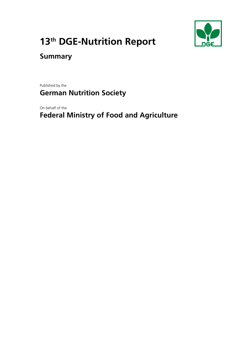

# **13th DGE-Nutrition Report**

# **Summary**

Published by the

# **German Nutrition Society**

On behalf of the

# **Federal Ministry of Food and Agriculture**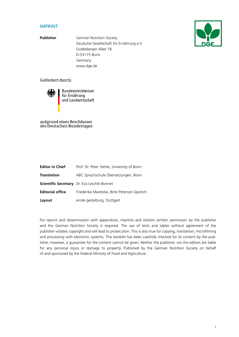### IMPRINT

**Publisher German Nutrition Society** Deutsche Gesellschaft für Ernährung e.V. Godesberger Allee 18 D-53175 Bonn Germany www.dge.de

#### Gefördert durch:



Bundesministerium für Ernährung und Landwirtschaft

aufgrund eines Beschlusses des Deutschen Bundestages

| <b>Editor in Chief</b>  | Prof. Dr. Peter Stehle, University of Bonn         |
|-------------------------|----------------------------------------------------|
| <b>Translation</b>      | ABC Sprachschule Übersetzungen, Bonn               |
|                         | <b>Scientific Secretary</b> Dr. Eva Leschik-Bonnet |
| <b>Editorial office</b> | Friederike Maretzke, Birte Peterson-Sperlich       |
| Layout                  | emde gestaltung, Stuttgart                         |

For reprint and dissemination with appendices, imprints and stickers written permission by the publisher and the German Nutrition Society is required. The use of texts and tables without agreement of the publisher violates copyright and will lead to prosecution. This is also true for copying, translation, microfilming and processing with electronic systems. This booklet has been carefully checked for its content by the publisher; however, a guarantee for the content cannot be given. Neither the publisher, nor the editors are liable for any personal injury or damage to property. Published by the German Nutrition Society on behalf of and sponsored by the Federal Ministry of Food and Agriculture.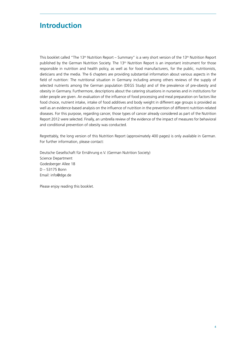# <span id="page-3-0"></span>**Introduction**

This booklet called "The 13<sup>th</sup> Nutrition Report – Summary" is a very short version of the 13<sup>th</sup> Nutrition Report published by the German Nutrition Society. The  $13<sup>th</sup>$  Nutrition Report is an important instrument for those responsible in nutrition and health policy, as well as for food manufacturers, for the public, nutritionists, dieticians and the media. The 6 chapters are providing substantial information about various aspects in the field of nutrition: The nutritional situation in Germany including among others reviews of the supply of selected nutrients among the German population (DEGS Study) and of the prevalence of pre-obesity and obesity in Germany. Furthermore, descriptions about the catering situations in nurseries and in institutions for older people are given. An evaluation of the influence of food processing and meal preparation on factors like food choice, nutrient intake, intake of food additives and body weight in different age groups is provided as well as an evidence-based analysis on the influence of nutrition in the prevention of different nutrition-related diseases. For this purpose, regarding cancer, those types of cancer already considered as part of the Nutrition Report 2012 were selected. Finally, an umbrella review of the evidence of the impact of measures for behavioral and conditional prevention of obesity was conducted.

Regrettably, the long version of this Nutrition Report (approximately 400 pages) is only available in German. For further information, please contact:

Deutsche Gesellschaft für Ernährung e.V. (German Nutrition Society) Science Department Godesberger Allee 18 D – 53175 Bonn Email: [info@dge.de](mailto:info@dge.de)

Please enjoy reading this booklet.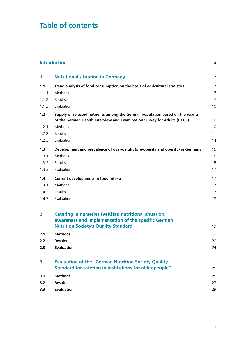# **Table of contents**

| 1                       | <b>Nutritional situation in Germany</b>                                                                                                                  | 7              |
|-------------------------|----------------------------------------------------------------------------------------------------------------------------------------------------------|----------------|
| 1.1                     | Trend analysis of food consumption on the basis of agricultural statistics                                                                               | 7              |
| 1.1.1                   | Methods                                                                                                                                                  | $\overline{7}$ |
| 1.1.2                   | Results                                                                                                                                                  | $\overline{7}$ |
| 1.1.3                   | Evaluation                                                                                                                                               | 10             |
| 1.2                     | Supply of selected nutrients among the German population based on the results<br>of the German Health Interview and Examination Survey for Adults (DEGS) | 10             |
| 1.2.1                   | Methods                                                                                                                                                  | 10             |
| 1.2.2                   | Results                                                                                                                                                  | 11             |
| 1.2.3                   | Evaluation                                                                                                                                               | 14             |
| 1.3                     | Development and prevalence of overweight (pre-obesity and obesity) in Germany                                                                            | 15             |
| 1.3.1                   | Methods                                                                                                                                                  | 15             |
| 1.3.2                   | Results                                                                                                                                                  | 15             |
| 1.3.3                   | Evaluation                                                                                                                                               | 17             |
| 1.4                     | <b>Current developments in food intake</b>                                                                                                               | 17             |
| 1.4.1                   | Methods                                                                                                                                                  | 17             |
| 1.4.2                   | Results                                                                                                                                                  | 17             |
| 1.4.3                   | Evaluation                                                                                                                                               | 18             |
| $\overline{\mathbf{2}}$ | Catering in nurseries (VeKiTa): nutritional situation,<br>awareness and implementation of the specific German                                            |                |
|                         | <b>Nutrition Society's Quality Standard</b>                                                                                                              | 19             |
| 2.1                     | <b>Methods</b>                                                                                                                                           | 19             |
| 2.2                     | <b>Results</b>                                                                                                                                           | 20             |
| 2.3                     | <b>Evaluation</b>                                                                                                                                        | 24             |
| 3                       | <b>Evaluation of the "German Nutrition Society Quality</b>                                                                                               |                |
|                         | Standard for catering in institutions for older people"                                                                                                  | 25             |
| 3.1                     | <b>Methods</b>                                                                                                                                           | 25             |
| 3.2                     | <b>Results</b>                                                                                                                                           | 27             |
| 3.3                     | <b>Evaluation</b>                                                                                                                                        | 29             |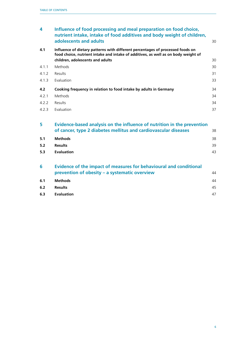| 4     | Influence of food processing and meal preparation on food choice,<br>nutrient intake, intake of food additives and body weight of children,<br>adolescents and adults | 30 |
|-------|-----------------------------------------------------------------------------------------------------------------------------------------------------------------------|----|
| 4.1   | Influence of dietary patterns with different percentages of processed foods on<br>food choice, nutrient intake and intake of additives, as well as on body weight of  |    |
|       | children, adolescents and adults                                                                                                                                      | 30 |
| 4.1.1 | Methods                                                                                                                                                               | 30 |
| 4.1.2 | Results                                                                                                                                                               | 31 |
| 4.1.3 | Evaluation                                                                                                                                                            | 33 |
| 4.2   | Cooking frequency in relation to food intake by adults in Germany                                                                                                     | 34 |
| 4.2.1 | Methods                                                                                                                                                               | 34 |
| 4.2.2 | Results                                                                                                                                                               | 34 |
| 4.2.3 | Evaluation                                                                                                                                                            | 37 |
| 5     | Evidence-based analysis on the influence of nutrition in the prevention                                                                                               |    |
|       | of cancer, type 2 diabetes mellitus and cardiovascular diseases                                                                                                       | 38 |
| 5.1   | <b>Methods</b>                                                                                                                                                        | 38 |
| 5.2   | <b>Results</b>                                                                                                                                                        | 39 |
| 5.3   | <b>Evaluation</b>                                                                                                                                                     | 43 |
| 6     | Evidence of the impact of measures for behavioural and conditional                                                                                                    |    |
|       | prevention of obesity – a systematic overview                                                                                                                         | 44 |
| 6.1   | <b>Methods</b>                                                                                                                                                        | 44 |
| 6.2   | <b>Results</b>                                                                                                                                                        | 45 |
| 6.3   | <b>Evaluation</b>                                                                                                                                                     | 47 |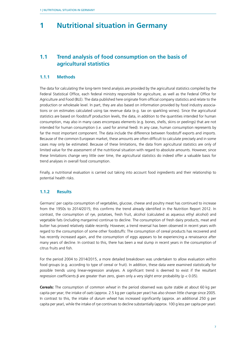# <span id="page-6-0"></span>**1 Nutritional situation in Germany**

# **1.1 Trend analysis of food consumption on the basis of agricultural statistics**

### **1.1.1 Methods**

The data for calculating the long-term trend analysis are provided by the agricultural statistics compiled by the Federal Statistical Office, each federal ministry responsible for agriculture, as well as the Federal Office for Agriculture and Food (BLE). The data published here originate from official company statistics and relate to the production or wholesale level. In part, they are also based on information provided by food industry associations or on estimates calculated using tax revenue data (e.g. tax on sparkling wines). Since the agricultural statistics are based on foodstuff production levels, the data, in addition to the quantities intended for human consumption, may also in many cases encompass elements (e.g. bones, shells, skins or peelings) that are not intended for human consumption (i.e. used for animal feed). In any case, human consumption represents by far the most important component. The data include the difference between foodstuff exports and imports. Because of the common European market, these amounts are often difficult to calculate precisely and in some cases may only be estimated. Because of these limitations, the data from agricultural statistics are only of limited value for the assessment of the nutritional situation with regard to absolute amounts. However, since these limitations change very little over time, the agricultural statistics do indeed offer a valuable basis for trend analyses in overall food consumption.

Finally, a nutritional evaluation is carried out taking into account food ingredients and their relationship to potential health risks.

#### **1.1.2 Results**

Germans' per capita consumption of vegetables, glucose, cheese and poultry meat has continued to increase from the 1950s to 2014/2015; this confirms the trend already identified in the Nutrition Report 2012. In contrast, the consumption of rye, potatoes, fresh fruit, alcohol (calculated as aqueous ethyl alcohol) and vegetable fats (including margarine) continue to decline. The consumption of fresh dairy products, meat and butter has proved relatively stable recently. However, a trend reversal has been observed in recent years with regard to the consumption of some other foodstuffs: The consumption of cereal products has recovered and has recently increased again, and the consumption of eggs appears to be experiencing a renaissance after many years of decline. In contrast to this, there has been a real slump in recent years in the consumption of citrus fruits and fish.

For the period 2004 to 2014/2015, a more detailed breakdown was undertaken to allow evaluation within food groups (e.g. according to type of cereal or fruit). In addition, these data were examined statistically for possible trends using linear-regression analyses. A significant trend is deemed to exist if the resultant regression coefficients β are greater than zero, given only a very slight error probability ( $p < 0.05$ ).

**Cereals:** The consumption of *common wheat* in the period observed was quite stable at about 60 kg per capita per year; the intake of *oats* (approx. 2.5 kg per capita per year) has also shown little change since 2005. In contrast to this, the intake of *durum wheat* has increased significantly (approx. an additional 250 g per capita per year), while the intake of *rye* continues to decline substantially (approx. 100 g less per capita per year).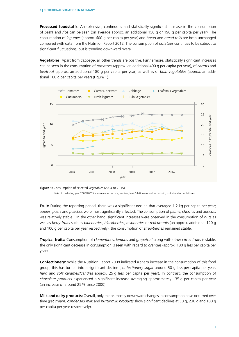**Processed foodstuffs:** An extensive, continuous and statistically significant increase in the consumption of *pasta* and *rice* can be seen (on average approx. an additional 150 g or 190 g per capita per year). The consumption of *legumes* (approx. 600 g per capita per year) and *bread* and *bread rolls* are both unchanged compared with data from the Nutrition Report 2012. The consumption of *potatoes* continues to be subject to significant fluctuations, but is trending downward overall.

**Vegetables:** Apart from *cabbage*, all other trends are positive. Furthermore, statistically significant increases can be seen in the consumption of *tomatoes* (approx. an additional 400 g per capita per year), of *carrots* and *beetroot* (approx. an additional 180 g per capita per year) as well as of *bulb vegetables* (approx. an additional 160 g per capita per year) (Figure 1).



**Figure 1:** Consumption of selected vegetables (2004 to 2015) 1) As of marketing year 2006/2007 inclusive curled lettuce, endives, lamb's lettuce as well as radiccio, rocket and other lettuces

**Fruit:** During the reporting period, there was a significant decline that averaged 1.2 kg per capita per year; *apples*, *pears* and *peaches* were most significantly affected. The consumption of *plums*, *cherries* and *apricots* was relatively stable. On the other hand, significant increases were observed in the consumption of *nuts* as well as *berry fruits* such as *blueberries*, *blackberries*, *raspberries* or *redcurrants* (an approx. additional 120 g and 100 g per capita per year respectively); the consumption of *strawberries* remained stable.

**Tropical fruits:** Consumption of *clementines*, *lemons* and *grapefruit* along with other *citrus fruits* is stable: the only significant decrease in consumption is seen with regard to *oranges* (approx. 180 g less per capita per year).

**Confectionery:** While the Nutrition Report 2008 indicated a sharp increase in the consumption of this food group, this has turned into a significant decline (*confectionery sugar* around 50 g less per capita per year; *hard* and *soft caramels/candies* approx. 25 g less per capita per year). In contrast, the consumption of *chocolate products* experienced a significant increase averaging approximately 135 g per capita per year (an increase of around 25% since 2000).

**Milk and dairy products:** Overall, only minor, mostly downward changes in consumption have occurred over time (*yet cream, condensed milk* and *buttermilk products* show significant declines at 50 g, 230 g and 100 g per capita per year respectively).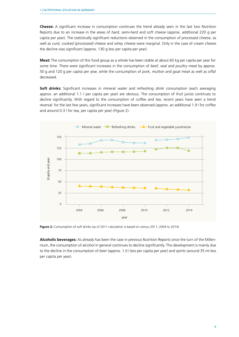**Cheese:** A significant increase in consumption continues the trend already seen in the last two Nutrition Reports due to an increase in the areas of *hard, semi-hard* and *soft cheese* (approx. additional 220 g per capita per year). The statistically significant reductions observed in the consumption of *processed cheese*, as well as *curd, cooked (processed) cheese* and *whey cheese* were marginal. Only in the case of *cream cheese* the decline was significant (approx. 130 g less per capita per year).

**Meat:** The consumption of this food group as a whole has been stable at about 60 kg per capita per year for some time. There were significant increases in the consumption of *beef, veal* and *poultry meat* by approx. 50 g and 120 g per capita per year, while the consumption of *pork, mutton* and *goat meat* as well as *offal* decreased.

**Soft drinks:** Significant increases in *mineral water* and *refreshing drink* consumption (each averaging approx. an additional 1.1 l per capita per year) are obvious. The consumption of *fruit juices* continues to decline significantly. With regard to the consumption of *coffee* and *tea*, recent years have seen a trend reversal: for the last few years, significant increases have been observed (approx. an additional 1.9 l for *coffee* and around 0.3 l for *tea*, per capita per year) (Figure 2).



**Figure 2:** Consumption of soft drinks (as of 2011 calculation is based on census 2011; 2004 to 2014)

**Alcoholic beverages:** As already has been the case in previous Nutrition Reports since the turn of the Millennium, the consumption of *alcohol* in general continues to decline significantly. This development is mainly due to the decline in the consumption of *beer* (approx. 1.0 l less per capita per year) and *spirits* (around 35 ml less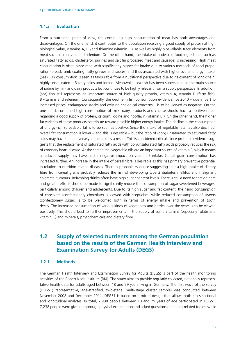#### <span id="page-9-0"></span>**1.1.3 Evaluation**

From a nutritional point of view, the continuing high consumption of meat has both advantages and disadvantages. On the one hand, it contributes to the population receiving a good supply of protein of high biological value, vitamins A,  $B_{12}$  and thiamine (vitamin  $B_1$ ), as well as highly bioavailable trace elements from meat such as iron, zinc and selenium. On the other hand, the intake of undesired food ingredients, such as saturated fatty acids, cholesterol, purines and salt (in processed meat and sausage) is increasing. High meat consumption is often associated with significantly higher fat intake due to various methods of food preparation (breadcrumb coating, fatty gravies and sauces) and thus associated with higher overall energy intake. (Sea) Fish consumption is seen as favourable from a nutritional perspective due to its content of long-chain, highly unsaturated n-3 fatty acids and iodine. Meanwhile, sea fish has been superseded as the main source of iodine by milk and dairy products but continues to be highly relevant from a supply perspective. In addition, (sea) fish still represents an important source of high-quality protein, vitamin A, vitamin D (fatty fish), B vitamins and selenium. Consequently, the decline in fish consumption evident since 2010 – due in part to increased prices, endangered stocks and existing ecological concerns – is to be viewed as negative. On the one hand, continued high consumption of milk, dairy products and cheese should have a positive effect regarding a good supply of protein, calcium, iodine and riboflavin (vitamin B<sub>2</sub>). On the other hand, the higher fat varieties of these products contribute toward possible higher energy intake. The decline in the consumption of energy-rich spreadable fat is to be seen as positive. Since the intake of vegetable fats has also declined, overall fat consumption is lower – and this is desirable – but the ratio of (poly) unsaturated to saturated fatty acids may have been adversely influenced as a result. This is considered critical, since probable evidence suggests that the replacement of saturated fatty acids with polyunsaturated fatty acids probably reduces the risk of coronary heart disease. At the same time, vegetable oils are an important source of vitamin E, which means a reduced supply may have had a negative impact on vitamin E intake. Cereal grain consumption has increased further. An increase in the intake of cereal fibre is desirable as this has primary preventive potential in relation to nutrition-related diseases. There is probable evidence suggesting that a high intake of dietary fibre from cereal grains probably reduces the risk of developing type 2 diabetes mellitus and malignant colorectal tumours. Refreshing drinks often have high sugar content levels. There is still a need for action here and greater efforts should be made to significantly reduce the consumption of sugar-sweetened beverages, particularly among children and adolescents. Due to its high sugar and fat content, the rising consumption of chocolate (confectionery chocolate) is viewed with scepticism, while reduced consumption of sweets (confectionery sugar) is to be welcomed both in terms of energy intake and prevention of tooth decay. The increased consumption of various kinds of vegetables and berries over the years is to be viewed positively. This should lead to further improvements in the supply of some vitamins (especially folate and vitamin C) and minerals, phytochemicals and dietary fibre.

# **1.2 Supply of selected nutrients among the German population based on the results of the German Health Interview and Examination Survey for Adults (DEGS)**

#### **1.2.1 Methods**

The German Health Interview and Examination Survey for Adults (DEGS) is part of the health monitoring activities of the Robert Koch Institute (RKI). The study aims to provide regularly collected, nationally representative health data for adults aged between 18 and 79 years living in Germany. The first wave of the survey (DEGS1; representative, age-stratified, two-stage, multi-stage cluster sample) was conducted between November 2008 and December 2011. DEGS1 is based on a mixed design that allows both cross-sectional and longitudinal analyses. In total, 7,988 people between 18 and 79 years of age participated in DEGS1. 7,238 people were given a thorough physical examination and asked questions on health-related topics, while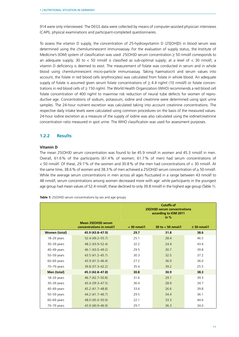<span id="page-10-0"></span>914 were only interviewed. The DEGS data were collected by means of computer-assisted physician interviews (CAPI), physical examinations and participant-completed questionnaires.

To assess the vitamin D supply, the concentration of 25-hydroxyvitamin D (25[OH]D) in blood serum was determined using the chemiluminescent immunoassay. For the evaluation of supply status, the Institute of Medicine's (IOM) system of classification was used:  $25(OH)D$  serum concentration  $\geq 50$  nmol/l corresponds to an adequate supply; 30 to  $\lt$  50 nmol/l is classified as sub-optimal supply; at a level of  $\lt$  30 nmol/l, a vitamin D deficiency is deemed to exist. The measurement of folate was conducted in serum and in whole blood using chemiluminescent micro-particle immunoassay. Taking haematocrit and serum values into account, the folate in red blood cells (erythrocytes) was calculated from folate in whole blood. An adequate supply of folate is assumed given serum folate concentrations of  $\geq 4.4$  ng/ml (10 nmol/l) or folate concentrations in red blood cells of > 150 ng/ml. The World Health Organization (WHO) recommends a red blood cell folate concentration of 400 ng/ml to maximise risk reduction of neural tube defects for women of reproductive age. Concentrations of sodium, potassium, iodine and creatinine were determined using spot urine samples. The 24-hour nutrient excretion was calculated taking into account creatinine concentrations. The respective daily intake levels were calculated using common procedures on the basis of the measured values. 24-hour iodine excretion as a measure of the supply of iodine was also calculated using the iodine/creatinine concentration ratio measured in spot urine. The WHO classification was used for assessment purposes.

### **1.2.2 Results**

#### **Vitamin D**

The mean 25(OH)D serum concentration was found to be 45.9 nmol/l in women and 45.3 nmol/l in men. Overall, 61.6% of the participants (61.4% of women; 61.7% of men) had serum concentrations of < 50 nmol/l. Of these, 29.7% of the women and 30.8% of the men had concentrations of < 30 nmol/l. At the same time, 38.6% of women and 38.3% of men achieved a 25(OH)D serum concentration of  $\geq$  50 nmol/l. While the average serum concentrations in men across all ages fluctuated in a range between 43 nmol/l to 48 nmol/l, serum concentrations among women decreased more with age: while participants in the youngest age group had mean values of 52.4 nmol/l, these declined to only 39.8 nmol/l in the highest age group (Table 1).

**Table 1:** 25(OH)D serum concentrations by sex and age groups

|                 |                                                | <b>Cutoffs of</b><br>25(OH)D serum concentrations<br>according to IOM 2011<br>in $%$ |                     |               |  |  |
|-----------------|------------------------------------------------|--------------------------------------------------------------------------------------|---------------------|---------------|--|--|
|                 | Mean 25(OH)D serum<br>concentrations in nmol/l | $<$ 30 nmol/l                                                                        | 30 to $<$ 50 nmol/l | $> 50$ nmol/l |  |  |
| Women (total)   | 45.9 (43.8-47.9)                               | 29.7                                                                                 | 31.8                | 38.6          |  |  |
| 18-29 years     | $52.4(49.2 - 55.7)$                            | 25.1                                                                                 | 28.4                | 46.5          |  |  |
| $30 - 39$ years | 48.2 (43.9-52.4)                               | 32.2                                                                                 | 24.4                | 43.4          |  |  |
| $40-49$ years   | 46.1 (43.0–49.2)                               | 29.5                                                                                 | 30.7                | 39.8          |  |  |
| $50 - 59$ years | 43.5 (41.2-45.7)                               | 30.3                                                                                 | 32.5                | 37.2          |  |  |
| $60-69$ years   | 43.9 (41.5–46.4)                               | 27.2                                                                                 | 36.9                | 36.0          |  |  |
| 70-79 years     | 39.8 (37.3-42.2)                               | 35.4                                                                                 | 39.2                | 25.5          |  |  |
| Men (total)     | 45.3 (42.8-47.8)                               | 30.8                                                                                 | 30.9                | 38.3          |  |  |
| 18-29 years     | 46.7 (42.7-50.8)                               | 31.6                                                                                 | 29.1                | 39.3          |  |  |
| $30 - 39$ years | 43.4 (39.3–47.5)                               | 36.4                                                                                 | 28.9                | 34.7          |  |  |
| $40-49$ years   | 45.2 (41.7–48.8)                               | 33.6                                                                                 | 26.6                | 39.8          |  |  |
| $50 - 59$ years | 44.2 (41.7-46.7)                               | 29.5                                                                                 | 34.4                | 36.1          |  |  |
| $60-69$ years   | 48.0 (45.0-50.9)                               | 22.1                                                                                 | 33.3                | 44.6          |  |  |
| 70-79 years     | 43.9 (40.9-46.9)                               | 29.7                                                                                 | 36.3                | 34.0          |  |  |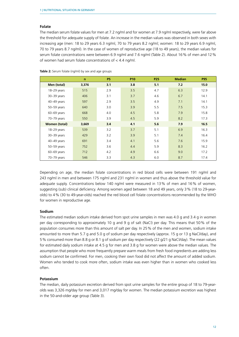#### **Folate**

The median serum folate values for men at 7.2 ng/ml and for women at 7.9 ng/ml respectively, were far above the threshold for adequate supply of folate. An increase in the median values was observed in both sexes with increasing age (men: 18 to 29 years 6.3 ng/ml, 70 to 79 years 8.2 ng/ml; women: 18 to 29 years 6.9 ng/ml, 70 to 79 years 8.7 ng/ml). In the case of women of reproductive age (18 to 49 years), the median values for serum folate concentrations were between 6.9 ng/ml and 7.6 ng/ml (Table 2). About 16% of men and 12% of women had serum folate concentrations of < 4.4 ng/ml.

|                      | $\mathbf n$ | <b>P5</b> | <b>P10</b> | <b>P25</b> | <b>Median</b> | <b>P95</b> |
|----------------------|-------------|-----------|------------|------------|---------------|------------|
| Men (total)          | 3,376       | 3.1       | 3.8        | 5.1        | 7.2           | 15.0       |
| 18-29 years          | 515         | 2.9       | 3.5        | 4.7        | 6.3           | 12.9       |
| 30-39 years          | 406         | 3.1       | 3.7        | 4.6        | 6.7           | 14.1       |
| 40-49 years          | 597         | 2.9       | 3.5        | 4.9        | 7.1           | 14.1       |
| 50-59 years          | 640         | 3.0       | 3.9        | 5.5        | 7.5           | 15.3       |
| 60-69 years          | 668         | 4.0       | 4.5        | 5.8        | 7.9           | 15.8       |
| 70-79 years          | 550         | 3.9       | 4.5        | 5.9        | 8.2           | 17.3       |
| <b>Women (total)</b> | 3,669       | 3.4       | 4.1        | 5.6        | 7.9           | 16.5       |
| 18-29 years          | 539         | 3.2       | 3.7        | 5.1        | 6.9           | 16.3       |
| 30-39 years          | 429         | 3.2       | 3.9        | 5.1        | 7.4           | 16.4       |
| 40-49 years          | 691         | 3.4       | 4.1        | 5.6        | 7.6           | 15.9       |
| 50-59 years          | 752         | 3.6       | 4.4        | 5.9        | 8.3           | 16.2       |
| $60 - 69$ years      | 712         | 4.2       | 4.9        | 6.6        | 9.0           | 17.2       |
| 70-79 years          | 546         | 3.3       | 4.3        | 6.0        | 8.7           | 17.4       |

**Table 2:** Serum folate (ng/ml) by sex and age groups

Depending on age, the median folate concentrations in red blood cells were between 191 ng/ml and 243 ng/ml in men and between 175 ng/ml and 231 ng/ml in women and thus above the threshold value for adequate supply. Concentrations below 140 ng/ml were measured in 13% of men and 16% of women, suggesting (sub) clinical deficiency. Among women aged between 18 and 49 years, only 3% (18 to 29-yearolds) to 4% (30 to 49-year-olds) reached the red blood cell folate concentrations recommended by the WHO for women in reproductive age.

#### **Sodium**

The estimated median sodium intake derived from spot urine samples in men was 4.0 g and 3.4 g in women per day corresponding to approximately 10 g and 9 g of salt (NaCl) per day. This means that 50% of the population consumes more than this amount of salt per day. In 25% of the men and women, sodium intake amounted to more than 5.7 g and 5.0 g of sodium per day respectively (approx. 15 g or 13 g NaCl/day), and 5% consumed more than 8.8 g or 8.1 g of sodium per day respectively (22 g/21 g NaCl/day). The mean values for estimated daily sodium intake at 4.5 g for men and 3.8 g for women were above the median values. The assumption that people who more frequently prepare warm meals from fresh food ingredients are adding less sodium cannot be confirmed. For men, cooking their own food did not affect the amount of added sodium. Women who tended to cook more often, sodium intake was even higher than in women who cooked less often.

#### **Potassium**

The median, daily potassium excretion derived from spot urine samples for the entire group of 18 to 79-yearolds was 3,326 mg/day for men and 3,017 mg/day for women. The median potassium excretion was highest in the 50-and-older age group (Table 3).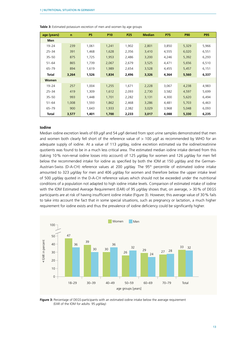| age (years)  | $\mathsf{n}$ | P <sub>5</sub> | P <sub>10</sub> | <b>P25</b> | <b>Median</b> | <b>P75</b> | <b>P90</b> | <b>P95</b> |
|--------------|--------------|----------------|-----------------|------------|---------------|------------|------------|------------|
| <b>Men</b>   |              |                |                 |            |               |            |            |            |
| $19 - 24$    | 239          | 1,061          | 1,241           | 1,902      | 2,801         | 3,850      | 5,329      | 5,966      |
| $25 - 34$    | 391          | 1,468          | 1,628           | 2,356      | 3,410         | 4,555      | 6,020      | 6,551      |
| $35 - 50$    | 875          | 1,725          | 1,953           | 2,486      | 3,200         | 4,246      | 5,392      | 6,293      |
| $51 - 64$    | 865          | 1,739          | 2,067           | 2,679      | 3,525         | 4,471      | 5,656      | 6,510      |
| $65 - 79$    | 894          | 1,619          | 1,989           | 2,654      | 3,528         | 4,455      | 5,457      | 6,151      |
| Total        | 3,264        | 1,526          | 1,834           | 2,496      | 3,326         | 4,364      | 5,560      | 6,337      |
| <b>Women</b> |              |                |                 |            |               |            |            |            |
| $19 - 24$    | 257          | 1,004          | 1,255           | 1,671      | 2,228         | 3,067      | 4,238      | 4,983      |
| $25 - 34$    | 419          | 1,309          | 1,612           | 2,093      | 2,730         | 3,582      | 4,597      | 5,699      |
| $35 - 50$    | 993          | 1,448          | 1,701           | 2,282      | 3,131         | 4,300      | 5,620      | 6,494      |
| $51 - 64$    | 1,008        | 1,593          | 1,862           | 2,468      | 3,286         | 4,481      | 5,703      | 6,463      |
| $65 - 79$    | 900          | 1,643          | 1,933           | 2,382      | 3,029         | 3,968      | 5,048      | 6,093      |
| Total        | 3,577        | 1,401          | 1,700           | 2,233      | 3,017         | 4,088      | 5,330      | 6,235      |

**Table 3:** Estimated potassium excretion of men and women by age groups

#### **Iodine**

Median iodine excretion levels of 69 µg/l and 54 µg/l derived from spot urine samples demonstrated that men and women both clearly fell short of the reference value of  $> 100$  µg/l as recommended by WHO for an adequate supply of iodine. At a value of 113 µg/day, iodine excretion estimated via the iodine/creatinine quotients was found to be in a much less critical area. The estimated median iodine intake derived from this (taking 10% non-renal iodine losses into account) of 125 µg/day for women and 126 µg/day for men fell below the recommended intake for iodine as specified by both the IOM at 150 µg/day and the German-Austrian-Swiss (D-A-CH) reference values at 200 µg/day. The 95<sup>th</sup> percentile of estimated iodine intake amounted to 323 µg/day for men and 406 µg/day for women and therefore below the upper intake level of 500 µg/day quoted in the D-A-CH reference values which should not be exceeded under the nutritional conditions of a population not adapted to high iodine intake levels. Comparison of estimated intake of iodine with the IOM Estimated Average Requirement (EAR) of 95 µg/day shows that, on average, > 30% of DEGS participants are at risk of having insufficient iodine intake (Figure 3). However, this average value of 30 % fails to take into account the fact that in some special situations, such as pregnancy or lactation, a much higher requirement for iodine exists and thus the prevalence of iodine deficiency could be significantly higher.



**Figure 3:** Percentage of DEGS-participants with an estimated iodine intake below the average requirement (EAR of the IOM for adults: 95 µg/day)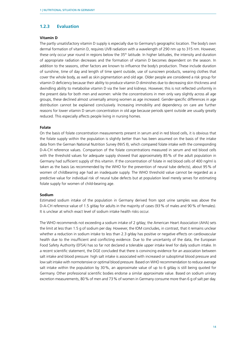#### <span id="page-13-0"></span>**1.2.3 Evaluation**

#### **Vitamin D**

The partly unsatisfactory vitamin D supply is especially due to Germany's geographic location. The body's own dermal formation of vitamin D, requires UVB radiation with a wavelength of 290 nm up to 315 nm. However, these only occur year round in regions below the 35<sup>th</sup> latitude. In higher latitudes, the intensity and duration of appropriate radiation decreases and the formation of vitamin D becomes dependent on the season. In addition to the seasons, other factors are known to influence the body's production. These include duration of sunshine, time of day and length of time spent outside, use of sunscreen products, wearing clothes that cover the whole body, as well as skin pigmentation and old age. Older people are considered a risk group for vitamin D deficiency because their ability to produce vitamin D diminishes due to decreasing skin thickness and dwindling ability to metabolise vitamin D via the liver and kidneys. However, this is not reflected uniformly in the present data for both men and women: while the concentrations in men only vary slightly across all age groups, these declined almost universally among women as age increased. Gender-specific differences in age distribution cannot be explained conclusively. Increasing immobility and dependency on care are further reasons for lower vitamin D serum concentration in old age because periods spent outside are usually greatly reduced. This especially affects people living in nursing homes.

#### **Folate**

On the basis of folate concentration measurements present in serum and in red blood cells, it is obvious that the folate supply within the population is slightly better than has been assumed on the basis of the intake data from the German National Nutrition Survey (NVS II), which compared folate intake with the corresponding D-A-CH reference values. Comparison of the folate concentrations measured in serum and red blood cells with the threshold values for adequate supply showed that approximately 85% of the adult population in Germany had sufficient supply of this vitamin. If the concentration of folate in red blood cells of 400 ng/ml is taken as the basis (as recommended by the WHO for the prevention of neural tube defects), about 95% of women of childbearing age had an inadequate supply. The WHO threshold value cannot be regarded as a predictive value for individual risk of neural tube defects but at population level merely serves for estimating folate supply for women of child-bearing age.

#### **Sodium**

Estimated sodium intake of the population in Germany derived from spot urine samples was above the D-A-CH reference value of 1.5 g/day for adults in the majority of cases (93% of males and 90% of females). It is unclear at which exact level of sodium intake health risks occur.

The WHO recommends not exceeding a sodium intake of 2 g/day; the American Heart Association (AHA) sets the limit at less than 1.5 g of sodium per day. However, the IOM concludes, in contrast, that it remains unclear whether a reduction in sodium intake to less than 2.3 g/day has positive or negative effects on cardiovascular health due to the insufficient and conflicting evidence. Due to the uncertainty of the data, the European Food Safety Authority (EFSA) has so far not declared a tolerable upper intake level for daily sodium intake. In a recent scientific statement, the DGE concluded that there is convincing evidence for an association between salt intake and blood pressure: high salt intake is associated with increased or suboptimal blood pressure and low salt intake with normotensive or optimal blood pressure. Based on WHO recommendation to reduce average salt intake within the population by 30%, an approximate value of up to 6 g/day is still being quoted for Germany. Other professional scientific bodies endorse a similar approximate value. Based on sodium urinary excretion measurements, 80% of men and 73% of women in Germany consume more than 6 g of salt per day.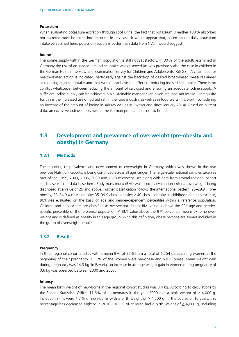#### <span id="page-14-0"></span>**Potassium**

When evaluating potassium excretion through spot urine, the fact that potassium is neither 100% absorbed nor excreted must be taken into account. In any case, it would appear that, based on the daily potassium intake established here, potassium supply is better than data from NVS II would suggest.

#### **Iodine**

The iodine supply within the German population is still not satisfactory. In 30% of the adults examined in Germany the risk of an inadequate iodine intake was observed (as was previously also the case in children in the German Health Interview and Examination Survey for Children and Adolescents [KiGGS]). A clear need for health-related action is indicated, particularly against the backdrop of desired broad-based measures aimed at reducing high salt intake and that would also have the effect of reducing iodised salt intake. There is no conflict whatsoever between reducing the amount of salt used and ensuring an adequate iodine supply. A sufficient iodine supply can be achieved in a sustainable manner even given reduced salt intake. Prerequisite for this is the increased use of iodised salt in the food industry, as well as in food crafts. It is worth considering an increase of the amount of iodine in salt (as well as in Switzerland since January 2014). Based on current data, an excessive iodine supply within the German population is not to be feared.

# **1.3 Development and prevalence of overweight (pre-obesity and obesity) in Germany**

#### **1.3.1 Methods**

The reporting of prevalence and development of overweight in Germany, which was shown in the two previous Nutrition Reports, is being continued across all age ranges. The large-scale national samples taken as part of the 1999, 2003, 2005, 2009 and 2013 microcensuses along with data from several regional cohort studies serve as a data base here. Body mass index (BMI) was used as evaluation criteria: overweight being diagnosed at a value of 25 and above. Further classification follows the international pattern: 25–29.9 = preobesity; 30–34.9 = class I obesity; 35–39.9 class II obesity;  $\geq$  40 class III obesity. In childhood and adolescence, BMI was evaluated on the basis of age and gender-dependent percentiles within a reference population. Children and adolescents are classified as overweight if their BMI value is above the  $90<sup>th</sup>$  age-and-genderspecific percentile of the reference population. A BMI value above the  $97<sup>th</sup>$  percentile means extreme overweight and is defined as obesity in this age group. With this definition, obese persons are always included in the group of overweight people.

#### **1.3.2 Results**

#### **Pregnancy**

In three regional cohort studies with a mean BMI of 22.6 from a total of 6,254 participating women at the beginning of their pregnancy, 13.5% of the women were pre-obese and 5.0% obese. Mean weight gain during pregnancy was 14.3 kg. In Bavaria, an increase in average weight gain in women during pregnancy of 0.6 kg was observed between 2000 and 2007.

#### **Infancy**

The mean birth weight of new-borns in the regional cohort studies was 3.4 kg. According to calculations by the Federal Statistical Office, 11.6% of all neonates in the year 2000 had a birth weight of  $\geq 4,000$  g. Included in this were 1.7% of new-borns with a birth weight of  $\geq 4,500$  g. In the course of 10 years, this percentage has decreased slightly: In 2010, 10.1% of children had a birth weight of  $\geq 4,000$  g, including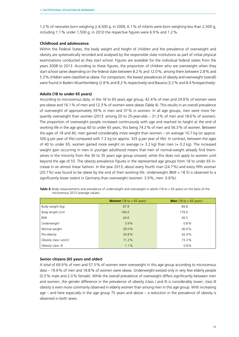1.2% of neonates born weighing  $\geq 4,500$  g. In 2000, 6.1% of infants were born weighing less than 2,500 g, including 1.1% under 1,500 g; in 2010 the respective figures were 6.9% and 1.2%.

#### **Childhood and adolescence**

Within the Federal States, the body weight and height of children and the prevalence of overweight and obesity are systematically recorded and analysed by the responsible state institutions as part of initial physical examinations conducted as they start school. Figures are available for the individual federal states from the years 2008 to 2013. According to these figures, the proportion of children who are overweight when they start school varies depending on the federal state between 8.2% and 12.0%; among them between 2.8% and 5.3% children were classified as obese. For comparison, the lowest prevalences of obesity and overweight (overall) were found in Baden-Wuerttemberg (2.8% and 8.2% respectively) and Bavaria (3.2% and 8.4%respectively).

#### **Adults (18 to under 65 years)**

According to microcensus data, in the 18 to 65 years age group, 42.4% of men and 24.8% of women were pre-obese and 16.1% of men and 12.3% of women were obese (Table 4). This results in an overall prevalence of overweight of approximately 59% in men and 37% in women. In all age groups, men were more frequently overweight than women (2013: among 20 to 25-year-olds – 31.3% of men and 18.6% of women). The proportion of overweight people increased continuously with age and reached its height at the end of working life in the age group 60 to under 65 years, this being 74.2% of men and 56.3% of women. Between the ages of 18 and 40, men gained considerably more weight than women – on average 10.7 kg (or approx. 500 g per year of life) compared with 7.2 kg (or approx. 325 g per year of life). In contrast, between the ages of 40 to under 65, women gained more weight on average (+ 3.2 kg) than men (+ 0.2 kg). The increased weight gain occurring in men in younger adulthood means that men of normal-weight already find themselves in the minority from the 30 to 35 years age group onward, while this does not apply to women until beyond the age of 55. The obesity prevalence figures in the represented age groups from 18 to under 65 increase in an almost linear fashion. In the year 2013, about every fourth man (24.7%) and every fifth woman (20.7%) was found to be obese by the end of their working life. Underweight (BMI < 18.5) is observed to a significantly lesser extent in Germany than overweight (women: 3.9%, men: 0.8%).

|                        | <b>Women</b> (18 to $<$ 65 years) | <b>Men</b> (18 to $<$ 65 years) |
|------------------------|-----------------------------------|---------------------------------|
| Body weight (kg)       | 67.9                              | 84.8                            |
| Body length (cm)       | 166.0                             | 179.0                           |
| BMI                    | 24.6                              | 26.5                            |
| Underweight            | 3.9%                              | 0.8%                            |
| Normal weight          | 59.0%                             | 40.6%                           |
| Pre-obesity            | 24.8%                             | 42.4%                           |
| Obesity class I and II | 11.2%                             | 15.3%                           |
| Obesity class III      | 1.1%                              | 0.8%                            |

**Table 4:** Body measurements and prevalence of underweight and overweight in adults (18 to < 65 years) on the basis of the microcensus 2013 (average values)

#### **Senior citizens (65 years and older)**

A total of 69.9% of men and 57.5% of women were overweight in this age group according to microcensus data – 19.9% of men and 18.8% of women were obese. Underweight existed only in very few elderly people (0.5% male and 2.0% female). While the overall prevalence of overweight differs significantly between men and women, the gender difference in the prevalence of obesity (class I and II) is considerably lower; class III obesity is even more commonly observed in elderly women than among men in this age group. With increasing age – and here especially in the age group 75 years and above – a reduction in the prevalence of obesity is observed in both sexes.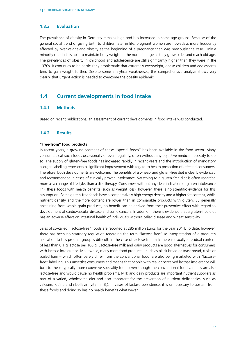#### <span id="page-16-0"></span>**1.3.3 Evaluation**

The prevalence of obesity in Germany remains high and has increased in some age groups. Because of the general social trend of giving birth to children later in life, pregnant women are nowadays more frequently affected by overweight and obesity at the beginning of a pregnancy than was previously the case. Only a minority of adults is able to maintain body weight in the normal range as they grow older and reach old age. The prevalences of obesity in childhood and adolescence are still significantly higher than they were in the 1970s. It continues to be particularly problematic that extremely overweight, obese children and adolescents tend to gain weight further. Despite some analytical weaknesses, this comprehensive analysis shows very clearly, that urgent action is needed to overcome the obesity epidemic.

### **1.4 Current developments in food intake**

#### **1.4.1 Methods**

Based on recent publications, an assessment of current developments in food intake was conducted.

#### **1.4.2 Results**

#### **"Free-from" food products**

In recent years, a growing segment of these "special foods" has been available in the food sector. Many consumers eat such foods occasionally or even regularly, often without any objective medical necessity to do so. The supply of gluten-free foods has increased rapidly in recent years and the introduction of mandatory allergen labelling represents a significant improvement with regard to health protection of affected consumers. Therefore, both developments are welcome. The benefits of a wheat- and gluten-free diet is clearly evidenced and recommended in cases of clinically proven intolerance. Switching to a gluten-free diet is often regarded more as a change of lifestyle, than a diet therapy. Consumers without any clear indication of gluten intolerance link these foods with health benefits (such as weight loss); however, there is no scientific evidence for this assumption. Some gluten-free foods have a comparatively high energy density and a higher fat content, while nutrient density and the fibre content are lower than in comparable products with gluten. By generally abstaining from whole grain products, no benefit can be derived from their preventive effect with regard to development of cardiovascular disease and some cancers. In addition, there is evidence that a gluten-free diet has an adverse effect on intestinal health of individuals without celiac disease and wheat sensitivity.

Sales of so-called "lactose-free" foods are reported at 285 million Euros for the year 2014. To date, however, there has been no statutory regulation regarding the term "lactose-free" so interpretation of a product's allocation to this product group is difficult. In the case of lactose-free milk there is usually a residual content of less than 0.1 g lactose per 100 g. Lactose-free milk and dairy products are good alternatives for consumers with lactose intolerance. Meanwhile, many more food products – such as black bread or toast bread, rusks or boiled ham – which often barely differ from the conventional food, are also being marketed with "lactosefree" labelling. This unsettles consumers and means that people with real or perceived lactose intolerance will turn to these typically more expensive speciality foods even though the conventional food varieties are also lactose-free and would cause no health problems. Milk and dairy products are important nutrient suppliers as part of a varied, wholesome diet and also important for the prevention of nutrient deficiencies, such as calcium, iodine and riboflavin (vitamin  $B<sub>2</sub>$ ). In cases of lactase persistence, it is unnecessary to abstain from these foods and doing so has no health benefits whatsoever.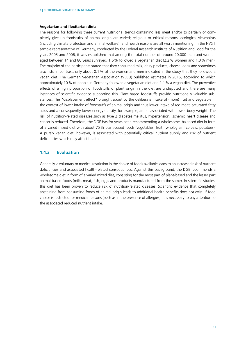#### <span id="page-17-0"></span>**Vegetarian and flexitarian diets**

The reasons for following these current nutritional trends containing less meat and/or to partially or completely give up foodstuffs of animal origin are varied; religious or ethical reasons, ecological viewpoints (including climate protection and animal welfare), and health reasons are all worth mentioning. In the NVS II sample representative of Germany, conducted by the Federal Research Institute of Nutrition and Food for the years 2005 and 2006, it was established that among the total number of around 20,000 men and women aged between 14 and 80 years surveyed. 1.6% followed a vegetarian diet (2.2% women and 1.0% men). The majority of the participants stated that they consumed milk, dairy products, cheese, eggs and sometimes also fish. In contrast, only about 0.1% of the women and men indicated in the study that they followed a vegan diet. The German Vegetarian Association (VEBU) published estimates in 2015, according to which approximately 10% of people in Germany followed a vegetarian diet and 1.1% a vegan diet. The preventive effects of a high proportion of foodstuffs of plant origin in the diet are undisputed and there are many instances of scientific evidence supporting this. Plant-based foodstuffs provide nutritionally valuable substances. The "displacement effect" brought about by the deliberate intake of (more) fruit and vegetable in the context of lower intake of foodstuffs of animal origin and thus lower intake of red meat, saturated fatty acids and a consequently lower energy density, for example, are all associated with lower body weight. The risk of nutrition-related diseases such as type 2 diabetes mellitus, hypertension, ischemic heart disease and cancer is reduced. Therefore, the DGE has for years been recommending a wholesome, balanced diet in form of a varied mixed diet with about 75% plant-based foods (vegetables, fruit, [wholegrain] cereals, potatoes). A purely vegan diet, however, is associated with potentially critical nutrient supply and risk of nutrient deficiencies which may affect health.

#### **1.4.3 Evaluation**

Generally, a voluntary or medical restriction in the choice of foods available leads to an increased risk of nutrient deficiencies and associated health-related consequences. Against this background, the DGE recommends a wholesome diet in form of a varied mixed diet, consisting for the most part of plant-based and the lesser part animal-based foods (milk, meat, fish, eggs and products manufactured from the same). In scientific studies, this diet has been proven to reduce risk of nutrition-related diseases. Scientific evidence that completely abstaining from consuming foods of animal origin leads to additional health benefits does not exist. If food choice is restricted for medical reasons (such as in the presence of allergies), it is necessary to pay attention to the associated reduced nutrient intake.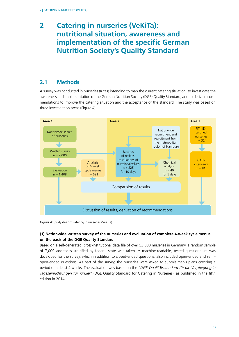# <span id="page-18-0"></span>**2 Catering in nurseries (VeKiTa): nutritional situation, awareness and implementation of the specific German Nutrition Society's Quality Standard**

# **2.1 Methods**

A survey was conducted in nurseries (Kitas) intending to map the current catering situation, to investigate the awareness and implementation of the German Nutrition Society (DGE) Quality Standard, and to derive recommendations to improve the catering situation and the acceptance of the standard. The study was based on three investigation areas (Figure 4):



**Figure 4:** Study design: catering in nurseries (VeKiTa)

### **(1) Nationwide written survey of the nurseries and evaluation of complete 4-week cycle menus on the basis of the DGE Quality Standard**

Based on a self-generated, cross-institutional data file of over 53,000 nurseries in Germany, a random sample of 7,000 addresses stratified by federal state was taken. A machine-readable, tested questionnaire was developed for the survey, which in addition to closed-ended questions, also included open-ended and semiopen-ended questions. As part of the survey, the nurseries were asked to submit menu plans covering a period of at least 4 weeks. The evaluation was based on the "*DGE-Qualitätsstandard für die Verpflegung in Tageseinrichtungen für Kinder"* (DGE Quality Standard for Catering in Nurseries), as published in the fifth edition in 2014.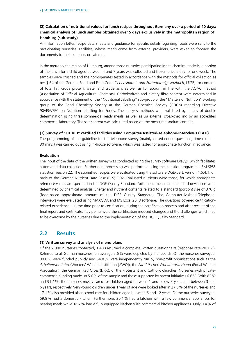### <span id="page-19-0"></span>**(2) Calculation of nutritional values for lunch recipes throughout Germany over a period of 10 days; chemical analysis of lunch samples obtained over 5 days exclusively in the metropolitan region of Hamburg (sub-study)**

An information letter, recipe data sheets and guidance for specific details regarding foods were sent to the participating nurseries. Facilities, whose meals come from external providers, were asked to forward the documents to their suppliers or caterers.

In the metropolitan region of Hamburg, among those nurseries participating in the chemical analysis, a portion of the lunch for a child aged between 4 and 7 years was collected and frozen once a day for one week. The samples were crushed and the homogenates tested in accordance with the methods for official collection as per § 64 of the German Food and Feed Code *(Lebensmittel- und Futtermittelgesetzbuch*, LFGB) for contents of total fat, crude protein, water and crude ash, as well as for sodium in line with the AOAC method (Association of Official Agricultural Chemists). Carbohydrate and dietary fibre content were determined in accordance with the statement of the "Nutritional Labelling" sub-group of the "Matters of Nutrition" working group of the Food Chemistry Society at the German Chemical Society (GDCh) regarding Directive 90/496/EEC on Nutrition Labelling for Foods. The analysis methods were validated by means of double determination using three commercial ready meals, as well as via external cross-checking by an accredited commercial laboratory. The salt content was calculated based on the measured sodium content.

#### **(3) Survey of "FIT KID" certified facilities using Computer-Assisted-Telephone-Interviews (CATI)**

The programming of the guideline for the telephone survey (mainly closed-ended questions; time required 30 mins.) was carried out using in-house software, which was tested for appropriate function in advance.

#### **Evaluation**

The input of the data of the written survey was conducted using the survey software EvaSys, which facilitates automated data collection. Further data processing was performed using the statistics programme IBM SPSS statistics, version 22. The submitted recipes were evaluated using the software DGExpert, version 1.6.4.1, on basis of the German Nutrient Data Base (BLS) 3.02. Evaluated nutrients were those, for which appropriate reference values are specified in the DGE Quality Standard. Arithmetic means and standard deviations were determined by chemical analysis. Energy and nutrient contents related to a standard (portion) size of 370 g (food-based approximate amount of the DGE Quality Standard). The Computer-Assisted-Telephone-Interviews were evaluated using MAXQDA and MS Excel 2013 software. The questions covered certificationrelated experience – in the time prior to certification, during the certification process and after receipt of the final report and certificate. Key points were the certification induced changes and the challenges which had to be overcome by the nurseries due to the implementation of the DGE Quality Standard.

# **2.2 Results**

#### **(1) Written survey and analysis of menu plans**

Of the 7,000 nurseries contacted, 1,408 returned a complete written questionnaire (response rate 20.1%). Referred to all German nurseries, on average 2.6% were depicted by the records. Of the nurseries surveyed, 30.6% were funded publicly and 54.8% were independently run by non-profit organisations such as the *Arbeiterwohlfahrt* (Workers' Welfare Institution [AWO]), the *Paritätischer Wohlfahrtsverband* (Equal Welfare Association), the German Red Cross (DRK), or the Protestant and Catholic churches. Nurseries with privatecommercial funding made up 5.6% of the sample and those supported by parent initiatives 6.6%. With 82% and 91.4%, the nurseries mostly cared for children aged between 1 and below 3 years and between 3 and 6 years, respectively. Very young children under 1 year of age were looked after in 27.8% of the nurseries and 17.1% also provided after-school care for children aged between 6 and 12 years. Of the nur-series surveyed, 59.8% had a domestic kitchen. Furthermore, 20.1% had a kitchen with a few commercial appliances for heating meals while 16.2% had a fully equipped kitchen with commercial kitchen appliances. Only 0.4% of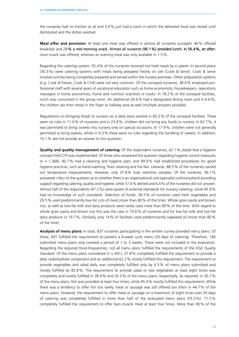the nurseries had no kitchen at all and 3.4% just had a room in which the delivered food was stored until distributed and the dishes washed.

**Meal offer and provision:** At least one meal was offered in almost all nurseries surveyed. 46% offered breakfast and 28 % a mid-morning snack. Almost all nurseries (96.1 %) provided lunch. In 56.4 %, an afternoon snack was offered, whereas an evening meal was only available in 1.5%.

Regarding the *catering system,* 55.4% of the nurseries received hot hold meals by a caterer. In second place (30.3%) were catering systems with meals being prepared freshly on site (Cook & Serve). Cook & Serve involves lunches being completely prepared and served within the nursery premises. Other preparation systems (e.g. Cook & Freeze, Cook & Chill) were not very common. Of the surveyed nurseries, 38.4% employed *professional staff* with several years of vocational education such as home economists, housekeepers, operations managers in home economists, home and nutrition scientists or cooks. In 78.2% of the surveyed facilities, lunch was consumed in the group room. An additional 29.6% had a designated dining room and in 6.6%, the children ate their meals in the foyer or hallway area as well (multiple answers possible).

*Regulations on bringing foods to nursery on a daily basis* existed in 60.2% of the surveyed facilities. There were no rules in 11.6% of nurseries and in 23.8%, children did not bring any foods to nursery. In 62.7%, it was permitted *to bring sweets* into nursery only on special occasions. In 17.9%, children were not generally permitted to bring sweets, whilst in 9.3% there were no rules regarding the handling of sweets. In addition, 10.1% did not provide an answer to this question.

**Quality and quality management of catering:** Of the respondent nurseries, 42.1% stated that a *hygiene concept* (HACCP) was implemented. Of those who answered the question regarding hygiene control measures  $(n = 1,368)$ , 90.7% had a cleaning and hygiene plan, and 89.9% had established procedures for good hygiene practices, such as hand washing, floor cleaning and the like. Likewise, 88.5% of the nurseries carried out temperature measurements. However, only 37.8% took retention samples. Of the nurseries, 36.1% answered «Yes» to the question as to whether there is an organisational unit (specialist unit/consultant) providing support regarding catering, quality and hygiene, while 57.6% denied and 6.4% of the nurseries did not answer. Almost half of the respondents (47.2%) were aware of *external standards for nursery catering*, while 45.8% had no knowledge of such standards. *Selection of foods*: 36.5% of nurseries used fresh vegetables and 29.5% used predominantly low-fat cuts of meat (more than 80% of the time). Whole grain pasta and brown rice, as well as low-fat milk and dairy products were rarely used more than 80% of the time. With regard to whole grain pasta and brown rice this was the case in 10.6% of nurseries and for low-fat milk and low-fat dairy products in 19.7%. Similarly, only 14% of facilities used predominantly rapeseed oil (more than 80% of the time).

**Analysis of menu plans:** In total, 837 nurseries participating in the written survey provided menu plans. Of these, 691 fulfilled the requirement to present a 4-week cycle menu (20 days of catering). Therefore, 146 submitted menu plans only covered a period of 1 to 3 weeks. These were not included in the evaluation. Regarding the required *food-frequencies*, not all menu plans fulfilled the requirements of the DGE Quality Standard. Of the menu plans considered ( $n = 691$ ), 37.8% completely fulfilled the requirement to provide a daily carbohydrate component and an additional 62.2% mostly fulfilled this requirement. The requirement to provide vegetables and salad daily was completely fulfilled only by 6.5% of menu plans submitted and mostly fulfilled by 85.8%. The requirement to provide salad or raw vegetables at least eight times was completely and mostly fulfilled in 38.9% and 35.3% of the menu plans, respectively. As required, in 30.7% of the menu plans, fish was provided at least four times, while 45.4% mostly fulfilled this requirement. While there was a tendency to offer fish too rarely, meat or sausage was still offered too often in 44.7% of the menu plans. However, the requirement to offer meat or sausage on a maximum of eight times over 20 days of catering was completely fulfilled in more than half of the evaluated menu plans (55.3%). 71.5% completely fulfilled the requirement to offer lean muscle meat at least four times. More than 90% of the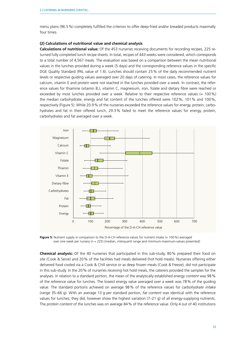menu plans (96.5%) completely fulfilled the criterion to offer deep-fried and/or breaded products maximally four times.

#### **(2) Calculations of nutritional value and chemical analysis**

**Calculations of nutritional value:** Of the 453 nurseries receiving documents for recording recipes, 225 returned fully completed lunch recipe sheets. In total, recipes of 443 weeks were considered, which corresponds to a total number of 4,567 meals. The evaluation was based on a comparison between the mean nutritional values in the lunches provided during a week (5 days) and the corresponding reference values in the specific DGE Quality Standard (PAL value of 1.6). Lunches should contain 25% of the daily recommended nutrient levels or respective guiding values averaged over 20 days of catering. In most cases, the reference values for calcium, vitamin E and protein were not reached in the lunches provided over a week. In contrast, the reference values for thiamine (vitamin B<sub>1</sub>), vitamin C, magnesium, iron, folate and dietary fibre were reached or exceeded by most lunches provided over a week. Relative to their respective reference values (= 100%) the median carbohydrate, energy and fat content of the lunches offered were 102%, 101% and 100%, respectively (Figure 5). While 20.9% of the nurseries exceeded the reference values for energy, protein, carbohydrates and fat in their offered lunch, 29.3% failed to meet the reference values for energy, protein, carbohydrates and fat averaged over a week.



**Figure 5:** Nutrient supply in comparison to the D-A-CH reference values for nutrient intake (= 100 %) averaged over one week per nursery (n = 225) (median, interquartil range and minimum-maximum-values presented)

**Chemical analysis:** Of the 40 nurseries that participated in this sub-study, 80% prepared their food on site (Cook & Serve) and 20% of the facilities had meals delivered (hot hold meals). Nurseries offering either delivered food cooled via a Cook & Chill service or as deep frozen meals (Cook & Freeze), did not participate in this sub-study. In the 20% of nurseries receiving hot hold meals, the caterers provided the samples for the analyses. In relation to a standard portion, the mean of the analytically established *energy content* was 98% of the reference value for lunches. The lowest energy value averaged over a week was 78% of the guiding value. The standard portions achieved on average 98% of the reference values for *carbohydrate intake* (range 35–66 g). With an average 13 g per standard portion, *fat content* was identical with the reference values for lunches; they did, however show the highest variation (7–21 g) of all energy-supplying nutrients. The *protein content* of the lunches was on average 84% of the reference value. Only 4 out of 40 institutions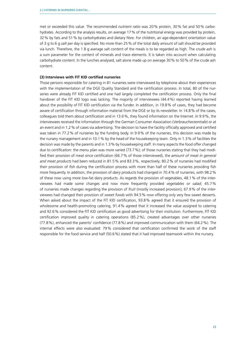met or exceeded this value. The recommended *nutrient ratio* was 20% protein, 30% fat and 50% carbohydrates. According to the analysis results, on average 17% of the nutritional energy was provided by protein, 32% by fats and 51% by carbohydrates and dietary fibre. For children, an age-dependent orientation value of 3 g to 6 g *salt* per day is specified. No more than 25% of the total daily amount of salt should be provided via lunch. Therefore, the 1.8 g average salt content of the meals is to be regarded as high. The *crude ash* is a sum parameter for the content of minerals and trace elements. It is taken into account when calculating carbohydrate content. In the lunches analysed, salt alone made up on average 30% to 50% of the crude ash content.

#### **(3) Interviews with FIT KID certified nurseries**

Those persons responsible for catering in 81 nurseries were interviewed by telephone about their experiences with the implementation of the DGE Quality Standard and the certification process. In total, 80 of the nurseries were already FIT KID certified and one had largely completed the certification process. Only the final handover of the FIT KID logo was lacking. The majority of interviewees (44.4%) reported having learned about the possibility of FIT KID certification via the funder. In addition, in 19.8% of cases, they had become aware of certification through information material from the DGE or by its newsletter. In 14.8% of the cases, colleagues told them about certification and in 13.6%, they found information on the Internet. In 9.9%, the interviewees received the information through the German Consumer Association (*Verbraucherzentrale*) or at an event and in 1.2% of cases via advertising. The decision to have the facility officially approved and certified was taken in 77.2% of nurseries by the funding body. In 9.9% of the nurseries, this decision was made by the nursery management and in 10.1% by the head of the housekeeping team. Only in 1.3% of facilities the decision was made by the parents and in 1.3% by housekeeping staff. In many aspects the food offer changed due to *certification*: the *menu plan* was more varied (73.7%); of those nurseries stating that they had modified their provision of meat since certification (66.7% of those interviewed), the *amount of meat in general and meat products* had been reduced in 81.5% and 83.3%, respectively; 80.2% of nurseries had modified their provision of *fish* during the certification process with more than half of these nurseries providing fish more frequently. In addition, the provision of *dairy products* had changed in 70.4% of nurseries, with 98.2% of these now using more low-fat dairy products. As regards the provision of vegetables, 48.1% of the interviewees had made some changes and now more frequently provided *vegetables or salad*; 45.7% of nurseries made changes regarding the provision of *fruit* (mostly increased provision); 67.9% of the interviewees had changed their provision of *sweet foods* with 94.5% now offering only very few sweet desserts. When asked about the impact of the FIT KID certification, 93.8% agreed that it ensured the provision of wholesome and health-promoting catering, 91.4% agreed that it increased the value assigned to catering and 92.6% considered the FIT KID certification as good advertising for their institution. Furthermore, FIT KID certification improved quality in catering operations (85.2%), created advantages over other nurseries (77.8%), enhanced the parents' confidence (77.8%) and improved communication with them (64.2%). The internal effects were also evaluated: 79% considered that certification confirmed the work of the staff responsible for the food service and half (50.6%) stated that it had improved teamwork within the nursery.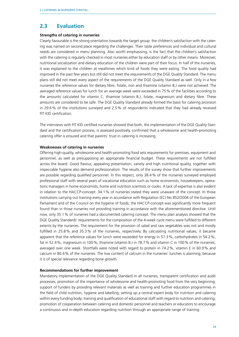# <span id="page-23-0"></span>**2.3 Evaluation**

#### **Strengths of catering in nurseries**

Clearly favourable is the strong orientation towards the target group: the children's satisfaction with the catering was named on second place regarding the challenges. Their taste preferences and individual and cultural needs are considered in menu planning. Also worth emphasising, is the fact that the children's satisfaction with the catering is regularly checked in most nurseries either by education staff or by other means. Moreover, nutritional socialization and dietary education of the children were part of their focus. In half of the nurseries, it was explained to the children at mealtimes which kind of foods they were eating. The food quality had improved in the past few years but still did not meet the requirements of the DGE Quality Standard. The menu plans still did not meet every aspect of the requirements of the DGE Quality Standard as well. Only in a few nurseries the reference values for dietary fibre, folate, iron and thiamine (vitamin  $B_1$ ) were not achieved. The averaged reference values for lunch for an average week were exceeded in 75% of the facilities according to the amounts calculated for vitamin C, thiamine (vitamin  $B_1$ ), folate, magnesium and dietary fibre. These amounts are considered to be safe. The DGE Quality Standard already formed the basis for catering provision in 29.6% of the institutions surveyed and 2.5% of respondents indicated that they had already received FIT KID certification.

The interviews with FIT KID certified nurseries showed that both, the implementation of the DGE Quality Standard and the certification process, is assessed positively, confirmed that a wholesome and health-promoting catering offer is ensured and that parents' trust in catering is increasing.

#### **Weaknesses of catering in nurseries**

Offering high-quality, wholesome and health-promoting food sets requirements for premises, equipment and personnel, as well as presupposing an appropriate financial budget. These requirements are not fulfilled across the board. Good flavour, appealing presentation, variety and high nutritional quality, together with impeccable hygiene also demand professionalism. The results of the survey show that further improvements are possible regarding qualified personnel. In this respect, only 38.4% of the nurseries surveyed employed professional staff with several years of vocational education such as home economists, housekeepers, operations managers in home economists, home and nutrition scientists or cooks. A lack of expertise is also evident in relation to the HACCP-concept: 34.1% of nurseries stated they were unaware of the concept. In those institutions carrying out training every year in accordance with Regulation (EC) No 852/2004 of the European Parliament and of the Council on the hygiene of foods, the HACCP-concept was significantly more frequent found than in those nurseries not providing training in accordance with the aforementioned directive. Until now, only 35.1% of nurseries had a documented catering concept. The menu plan analysis showed that the DGE Quality Standards' requirements for the composition of the 4-week cycle menu were fulfilled to different extents by the nurseries. The requirement for the provision of salad and raw vegetables was not and mostly fulfilled in 25.8% and 35.3% of the nurseries, respectively. By calculating nutritional values, it became apparent that the reference values for lunch were exceeded for energy in 57.3%, carbohydrates in 54.2%, fat in 52.4%, magnesium in 100%, thiamine (vitamin  $B_1$ ) in 78.7% and vitamin C in 100% of the nurseries, averaged over one week. Shortfalls were noted with regard to protein in 74.2%, vitamin E in 60.9% and calcium in 80.4% of the nurseries. The low content of calcium in the nurseries' lunches is alarming, because it is of special relevance regarding bone growth.

#### **Recommendations for further improvement**

Mandatory implementation of the DGE Quality Standard in all nurseries; transparent certification and audit processes; promotion of the importance of wholesome and health-promoting food from the very beginning; support of funders by providing relevant materials as well as training and further education programmes in the field of child nutrition, hygiene and labelling; setting up a central expert body for nutrition and catering within every funding body; training and qualification of educational staff with regard to nutrition and catering; promotion of cooperation between catering and domestic personnel and teachers or educators to encourage a continuous and in-depth education regarding nutrition through an appropriate range of training.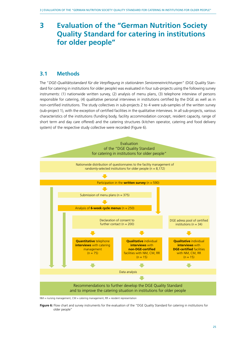# <span id="page-24-0"></span>**3 Evaluation of the "German Nutrition Society Quality Standard for catering in institutions for older people"**

## **3.1 Methods**

The "*DGE-Qualitätsstandard für die Verpflegung in stationären Senioreneinrichtungen*" (DGE Quality Standard for catering in institutions for older people) was evaluated in four sub-projects using the following survey instruments: (1) nationwide written survey, (2) analysis of menu plans, (3) telephone interview of persons responsible for catering, (4) qualitative personal interviews in institutions certified by the DGE as well as in non-certified institutions. The study collectives in sub-projects 2 to 4 were sub-samples of the written survey (sub-project 1), with the exception of certified facilities in the qualitative interviews. In all sub-projects, various characteristics of the institutions (funding body, facility accommodation concept, resident capacity, range of short term and day care offered) and the catering structures (kitchen operator, catering and food delivery system) of the respective study collective were recorded (Figure 6).



 $NM =$  nursing management,  $CM =$  catering management,  $RR =$  resident representation

**Figure 6:** Flow chart and survey instruments for the evaluation of the "DGE Quality Standard for catering in institutions for older people"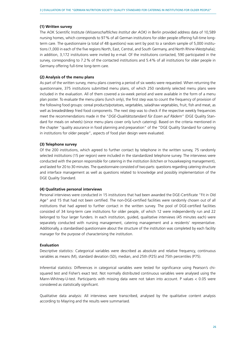#### **(1) Written survey**

The AOK Scientific Institute (*Wissenschaftliches Institut der AOK)* in Berlin provided address data of 10,589 nursing homes, which corresponds to 97% of all German institutions for older people offering full-time longterm care. The questionnaire (a total of 48 questions) was sent by post to a random sample of 5,000 institutions (1,000 in each of the five regions North, East, Central, and South Germany, and North Rhine-Westphalia); in addition, 3,172 institutions were invited by e-mail. Of the institutions contacted, 590 participated in the survey, corresponding to 7.2% of the contacted institutions and 5.4% of all institutions for older people in Germany offering full-time long-term care.

#### **(2) Analysis of the menu plans**

As part of the written survey, menu plans covering a period of six weeks were requested. When returning the questionnaire, 375 institutions submitted menu plans, of which 250 randomly selected menu plans were included in the evaluation. All of them covered a six-week period and were available in the form of a menu plan poster. To evaluate the menu plans (lunch only), the first step was to count the frequency of provision of the following food groups: cereal products/potatoes, vegetables, salad/raw vegetables, fruit, fish and meat, as well as breaded/deep fried food components. The next step was to check if the respective weekly frequencies meet the recommendations made in the "*DGE-Qualitätsstandard für Essen auf Rädern*" (DGE Quality Standard for meals on wheels) (since menu plans cover only lunch catering). Based on the criteria mentioned in the chapter "quality assurance in food planning and preparation" of the "DGE Quality Standard for catering in institutions for older people", aspects of food plan design were evaluated.

#### **(3) Telephone survey**

Of the 200 institutions, which agreed to further contact by telephone in the written survey, 75 randomly selected institutions (15 per region) were included in the standardized telephone survey. The interviews were conducted with the person responsible for catering in the institution (kitchen or housekeeping management), and lasted for 20 to 30 minutes. The questionnaire consisted of two parts: questions regarding catering structure and interface management as well as questions related to knowledge and possibly implementation of the DGE Quality Standard.

#### **(4) Qualitative personal interviews**

Personal interviews were conducted in 15 institutions that had been awarded the DGE-Certificate "Fit in Old Age" and 15 that had not been certified. The non-DGE-certified facilities were randomly chosen out of all institutions that had agreed to further contact in the written survey. The pool of DGE-certified facilities consisted of 34 long-term care institutions for older people, of which 12 were independently run and 22 belonged to four larger funders. In each institution, guided, qualitative interviews (45 minutes each) were separately conducted with nursing management, catering management and a residents' representative. Additionally, a standardised questionnaire about the structure of the institution was completed by each facility manager for the purpose of characterising the institution.

#### **Evaluation**

Descriptive statistics: Categorical variables were described as absolute and relative frequency, continuous variables as means (M), standard deviation (SD), median, and 25th (P25) and 75th percentiles (P75).

Inferential statistics: Differences in categorical variables were tested for significance using Pearson's chisquared test and Fisher's exact test. Not normally distributed continuous variables were analysed using the Mann-Whitney-U-test. Participants with missing data were not taken into account. P values < 0.05 were considered as statistically significant.

Qualitative data analysis: All interviews were transcribed, analysed by the qualitative content analysis according to Mayring and the results were summarised.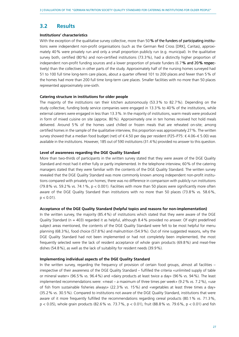### <span id="page-26-0"></span>**3.2 Results**

#### **Institutions' characteristics**

With the exception of the qualitative survey collective, more than 50 % of the funders of participating institutions were independent non-profit organisations (such as the German Red Cross [DRK], Caritas), approximately 40% were privately run and only a small proportion publicly run (e.g. municipal). In the qualitative survey both, certified (80%) and non-certified institutions (73.3%), had a distinctly higher proportion of independent non-profit funding sources and a lower proportion of private funders  $(6.7\%$  and 20% respectively) than the collectives in other parts of the study. Approximately half of the nursing homes surveyed had 51 to 100 full time long-term care places, about a quarter offered 101 to 200 places and fewer than 5% of the homes had more than 200 full time long-term care places. Smaller facilities with no more than 50 places represented approximately one-sixth.

#### **Catering structure in institutions for older people**

The majority of the institutions ran their kitchen autonomously (53.3% to 82.7%). Depending on the study collective, funding body service companies were engaged in 13.3% to 40% of the institutions, while external caterers were engaged in less than 13.3%. In the majority of institutions, warm meals were produced in form of mixed cuisine on site (approx. 80%). Approximately one in ten homes received hot hold meals delivered. Around 5% of the homes used chilled or frozen meals that are reheated on-site; among certified homes in the sample of the qualitative interview, this proportion was approximately 27%. The written survey showed that a median food budget (net) of € 4.50 per day per resident (P25–P75: € 4.06–€ 5.00) was available in the institutions. However, 185 out of 590 institutions (31.4%) provided no answer to this question.

#### **Level of awareness regarding the DGE Quality Standard**

More than two-thirds of participants in the written survey stated that they were aware of the DGE Quality Standard and most had it either fully or partly implemented. In the telephone interview, 60% of the catering managers stated that they were familiar with the contents of the DGE Quality Standard. The written survey revealed that the DGE Quality Standard was more commonly known among independent non-profit institutions compared with privately run homes; there was no difference in comparison with publicly run institutions (79.8% vs. 59.2% vs. 74.1%, p < 0.001). Facilities with more than 50 places were significantly more often aware of the DGE Quality Standard than institutions with no more than 50 places (73.8% vs. 58.6%,  $p < 0.01$ ).

#### **Acceptance of the DGE Quality Standard (helpful topics and reasons for non-implementation)**

In the written survey, the majority (85.4%) of institutions which stated that they were aware of the DGE Quality Standard ( $n = 403$ ) regarded it as helpful, although 8.4% provided no answer. Of eight predefined subject areas mentioned, the contents of the DGE Quality Standard were felt to be most helpful for menu planning (68.3%), food choice (57.8%) and malnutrition (54.9%). Out of nine suggested reasons, why the DGE Quality Standard had not been implemented or had not completely been implemented, the most frequently selected were the lack of resident acceptance of whole grain products (69.8%) and meat-free dishes (54.8%), as well as the lack of suitability for resident needs (39.9%).

#### **Implementing individual aspects of the DGE Quality Standard**

In the written survey, regarding the frequency of provision of certain food groups, almost all facilities – irrespective of their awareness of the DGE Quality Standard – fulfilled the criteria «unlimited supply of table or mineral water» (96.5% vs. 96.4%) and «dairy products at least twice a day» (96% vs. 94%). The least implemented recommendations were: «meat – a maximum of three times per week» (9.2% vs. 7.2%), «use of fish from sustainable fisheries always» (22.3% vs. 15%) and «vegetables at least three times a day» (35.2% vs. 30.5%). Compared to institutions not aware of the DGE Quality Standard, institutions that were aware of it more frequently fulfilled the recommendations regarding cereal products (80.1% vs. 71.3%, p < 0.05), whole grain products (82.6% vs. 73.7%, p < 0.01), fruit (88.8% vs. 79.6%, p < 0.01) and fish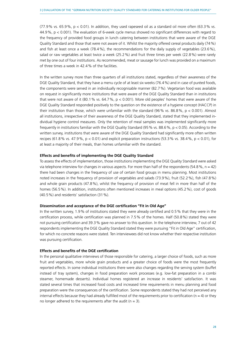$(77.9\% \text{ vs. } 65.9\% \text{ s. } 60.01)$ . In addition, they used rapeseed oil as a standard oil more often  $(63.3\% \text{ vs. } 60.01)$ . 44.9%, p < 0.001). The evaluation of 6-week cycle menus showed no significant differences with regard to the frequency of provided food groups in lunch catering between institutions that were aware of the DGE Quality Standard and those that were not aware of it. Whilst the majority offered cereal products daily (74%) and fish at least once a week (78.4%), the recommendations for the daily supply of vegetables (23.6%), salad or raw vegetables at least twice a week (25.2%) and fruit three times per week (22.8%) were rarely met by one out of four institutions. As recommended, meat or sausage for lunch was provided on a maximum of three times a week in 42.4% of the facilities.

In the written survey more than three quarters of all institutions stated, regardless of their awareness of the DGE Quality Standard, that they have a menu cycle of at least six weeks (76.4%) and in case of puréed foods, the components were served in an individually recognisable manner (82.7%). Vegetarian food was available on request in significantly more institutions that were aware of the DGE Quality Standard than in institutions that were not aware of it  $(80.1\% \text{ vs. } 64.7\% , p < 0.001)$ . More old peoples' homes that were aware of the DGE Quality Standard responded positively to the question on the existence of a hygiene concept (HACCP) in their institution than those, which were unfamiliar with the standard (96% vs. 86.8%,  $p < 0.001$ ). Almost all institutions, irrespective of their awareness of the DGE Quality Standard, stated that they implemented individual hygiene control measures. Only the retention of meal samples was implemented significantly more frequently in institutions familiar with the DGE Quality Standard (95% vs. 88.6%, p < 0.05). According to the written survey, institutions that were aware of the DGE Quality Standard had significantly more often written recipes (61.8% vs. 47.9%,  $p < 0.01$ ) and explicit preparation instructions (53.3% vs. 38.4%,  $p < 0.01$ ), for at least a majority of their meals, than homes unfamiliar with the standard.

#### **Effects and benefits of implementing the DGE Quality Standard**

To assess the effects of implementation, those institutions implementing the DGE Quality Standard were asked via telephone interview for changes in various aspects. For more than half of the respondents (54.8%,  $n = 42$ ) there had been changes in the frequency of use of certain food groups in menu planning. Most institutions noted increases in the frequency of provision of vegetables and salads (73.9%), fruit (52.2%), fish (47.8%) and whole grain products (47.8%), whilst the frequency of provision of meat fell in more than half of the homes (56.5%). In addition, institutions often mentioned increases in meal options (45.2%), cost of goods (40.5%) and residents' satisfaction (31%).

#### **Dissemination and acceptance of the DGE certification "Fit in Old Age"**

In the written survey, 1.9% of institutions stated they were already certified and 0.5% that they were in the certification process, while certification was planned in 7.5% of the homes. Half (50.8%) stated they were not pursuing certification and 39.3% gave no answer to this question. In the telephone interview, 7 out of 42 respondents implementing the DGE Quality Standard stated they were pursuing "Fit in Old Age" certification, for which no concrete reasons were stated. Ten interviewees did not know whether their respective institution was pursuing certification.

#### **Effects and benefits of the DGE certification**

In the personal qualitative interviews of those responsible for catering, a larger choice of foods, such as more fruit and vegetables, more whole grain products and a greater choice of foods were the most frequently reported effects. In some individual institutions there were also changes regarding the serving system (buffet instead of tray system), changes in food preparation work processes (e.g. low-fat preparation in a combi steamer, homemade desserts). Individual homes registered an increase in residents' satisfaction. It was stated several times that increased food costs and increased time requirements in menu planning and food preparation were the consequences of the certification. Some respondents stated they had not perceived any internal effects because they had already fulfilled most of the requirements prior to certification ( $n = 4$ ) or they no longer adhered to the requirements after the audit ( $n = 3$ ).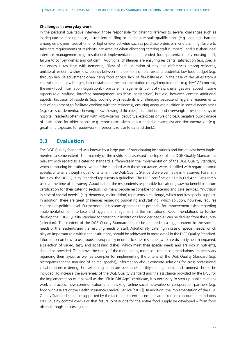#### <span id="page-28-0"></span>**Challenges in everyday work**

In the personal qualitative interview, those responsible for catering referred to several challenges such as inadequate or missing space, insufficient staffing or inadequate staff qualifications (e.g. language barriers among employees, lack of time for higher level activities such as purchase orders or menu planning, failure to take care requirements of residents into account when allocating catering staff numbers), and less-than-ideal interface management (e.g. insufficient implementation of intended food presentation by nursing staff, failure to convey wishes and criticism). Additional challenges are ensuring residents' satisfaction (e.g. special challenges in residents with dementia, "Rest of Life" duration of stay, age differences among residents, unilateral resident wishes, discrepancy between the opinions of relatives and residents), low food budget (e.g. through lack of adjustment given rising food prices), lack of flexibility (e.g. in the case of deliveries from a central kitchen, low budget, lack of staff) and the implementation of legal requirements (e.g. HACCP concept, the new Food Information Regulation). From care managements' point of view, challenges overlapped in some aspects (e.g. staffing, interface management, residents' satisfaction) but did, however, contain additional aspects: Inclusion of residents (e.g. cooking with residents is challenging because of hygiene requirements, lack of equipment to facilitate cooking with the residents), ensuring adequate nutrition in special needs cases (e.g. cases of dementia, chewing or swallowing difficulties, malnutrition, and overweight), resident stays in hospital (residents often return with MRSA-germs, decubitus, exsiccosis or weight loss), negative public image of institutions for older people (e.g. reports exclusively about negative examples) and documentation (e.g. great time exposure for paperwork if residents refuse to eat and drink).

### **3.3 Evaluation**

The DGE Quality Standard was known by a large part of participating institutions and has at least been implemented to some extent. The majority of the institutions assessed the topics of the DGE Quality Standard as relevant with regard to a catering standard. Differences in the implementation of the DGE Quality Standard, when comparing institutions aware of the standard with those not aware, were identified with regard to some specific criteria, although not all of criteria in the DGE Quality Standard were verifiable in the survey. For many facilities, the DGE Quality Standard represents a guideline. The DGE certification "Fit in Old Age" was rarely used at the time of the survey. About half of the respondents responsible for catering saw no benefit in future certification for their catering section. For many people responsible for catering and care services, "nutrition in case of special needs" (e.g. dementia, malnutrition) represents a challenge, which requires special support. In addition, there are great challenges regarding budgeting and staffing, which solution, however, requires changes at political level. Furthermore, it became apparent that potential for improvement exists regarding implementation of interface and hygiene management in the institutions. Recommendations to further develop the "DGE Quality Standard for catering in institutions for older people" can be derived from the survey (selection): The content of the DGE Quality Standard should be adapted to a bigger extent to the specific needs of the residents and the resulting needs of staff. Additionally, catering in case of special needs, which play an important role within the institutions, should be addressed in more detail in the DGE Quality Standard. Information on how to use foods appropriately in order to offer residents, who are diversely health impaired, a selection of varied, tasty and appealing dishes, which meet their special needs and are rich in nutrients, should be provided. To improve the clarity of the menu plans, more concrete recommendations are necessary regarding their layout as well as examples for implementing the criteria of the DGE Quality Standard (e.g. pictograms for the marking of animal species); information about concrete solutions for cross-professional collaborations (catering, housekeeping and care personnel, facility management, and funders) should be included. To increase the awareness of the DGE Quality Standard and the assistance provided by the DGE for the implementation of it as well as the "Fit in Old Age" certificate, it is necessary to step up public relations work and access new communication channels (e.g. online social networks) or co-operation partners (e.g. food wholesalers or the Health Insurance Medical Service [MDK]). In addition, the implementation of the DGE Quality Standard could be supported by the fact that its central contents are taken into account in mandatory MDK quality control checks or that future joint audits for the entire food supply be developed – from food offers through to nursing care.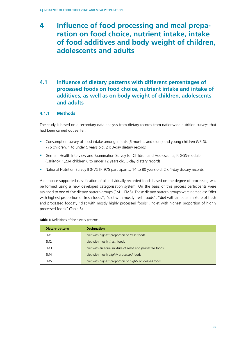# <span id="page-29-0"></span>**4 Influence of food processing and meal preparation on food choice, nutrient intake, intake of food additives and body weight of children, adolescents and adults**

# **4.1 Influence of dietary patterns with different percentages of processed foods on food choice, nutrient intake and intake of additives, as well as on body weight of children, adolescents and adults**

### **4.1.1 Methods**

The study is based on a secondary data analysis from dietary records from nationwide nutrition surveys that had been carried out earlier:

- Consumption survey of food intake among infants (6 months and older) and young children (VELS): 776 children, 1 to under 5 years old, 2 x 3-day dietary records
- German Health Interview and Examination Survey for Children and Adolescents, KiGGS-module (EsKiMo): 1,234 children 6 to under 12 years old, 3-day dietary records
- National Nutrition Survey II (NVS II): 975 participants, 14 to 80 years old, 2 x 4-day dietary records

A database-supported classification of all individually recorded foods based on the degree of processing was performed using a new developed categorisation system. On the basis of this process participants were assigned to one of five dietary pattern groups (EM1–EM5). These dietary pattern groups were named as: "diet with highest proportion of fresh foods", "diet with mostly fresh foods", "diet with an equal mixture of fresh and processed foods", "diet with mostly highly processed foods", "diet with highest proportion of highly processed foods" (Table 5).

| <b>Dietary pattern</b> | <b>Designation</b>                                      |
|------------------------|---------------------------------------------------------|
| EM1                    | diet with highest proportion of fresh foods             |
| EM2                    | diet with mostly fresh foods                            |
| EM3                    | diet with an equal mixture of fresh and processed foods |
| EM4                    | diet with mostly highly processed foods                 |
| EM <sub>5</sub>        | diet with highest proportion of highly processed foods  |

**Table 5:** Definitions of the dietary patterns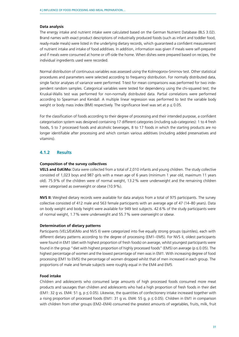#### <span id="page-30-0"></span>**Data analysis**

The energy intake and nutrient intake were calculated based on the German Nutrient Database (BLS 3.02). Brand names with exact product descriptions of industrially produced foods (such as infant and toddler food, ready-made meals) were listed in the underlying dietary records, which guaranteed a confident measurement of nutrient intake and intake of food additives. In addition, information was given if meals were self-prepared and if meals were consumed at home or off-side the home. When dishes were prepared based on recipes, the individual ingredients used were recorded.

Normal distribution of continuous variables was assessed using the Kolmogorov-Smirnov test. Other statistical procedures and parameters were selected according to frequency distribution. For normally distributed data, single factor analyses of variance were performed. T-test for mean comparisons was performed for two independent random samples. Categorical variables were tested for dependency using the chi-squared test; the Kruskal-Wallis test was performed for non-normally distributed data. Partial correlations were performed according to Spearman and Kendall. A multiple linear regression was performed to test the variable body weight or body mass index (BMI) respectively. The significance level was set at  $p \le 0.05$ .

For the classification of foods according to their degree of processing and their intended purpose, a confident categorisation system was designed containing 17 different categories (including sub-categories): 1 to 4 fresh foods, 5 to 7 processed foods and alcoholic beverages, 8 to 17 foods in which the starting products are no longer identifiable after processing and which contain various additives (including added preservatives and vitamins).

#### **4.1.2 Results**

#### **Composition of the survey collectives**

**VELS and EsKiMo:** Data were collected from a total of 2,010 infants and young children. The study collective consisted of 1,023 boys and 987 girls with a mean age of 6 years (minimum 1 year old, maximum 11 years old). 75.9% of the children were of normal weight, 13.2% were underweight and the remaining children were categorised as overweight or obese (10.9%).

**NVS II:** Weighed dietary records were available for data analysis from a total of 975 participants. The survey collective consisted of 412 male and 563 female participants with an average age of 47 (14–80 years). Data on body weight and body height were available for 949 test subjects. 42.6% of the study participants were of normal weight, 1.7% were underweight and 55.7% were overweight or obese.

#### **Determination of dietary patterns**

Participants (VELS/EsKiMo and NVS II) were categorized into five equally strong groups (quintiles), each with different dietary patterns according to the degree of processing (EM1–EM5). For NVS II, oldest participants were found in EM1 (diet with highest proportion of fresh foods) on average, whilst youngest participants were found in the group "diet with highest proportion of highly processed foods" (EM5) on average ( $p \le 0.05$ ). The highest percentage of women and the lowest percentage of men was in EM1. With increasing degree of food processing (EM1 to EM5) the percentage of women dropped whilst that of men increased in each group. The proportions of male and female subjects were roughly equal in the EM4 and EM5.

#### **Food intake**

Children and adolescents who consumed large amounts of high processed foods consumed more meat products and sausages than children and adolescents who had a high proportion of fresh foods in their diet (EM1: 32 g vs. EM4: 51 g,  $p \le 0.05$ ). Likewise, the quantities of confectionery intake increased together with a rising proportion of processed foods (EM1: 31 g vs. EM4: 55 g,  $p \le 0.05$ ). Children in EM1 in comparison with children from other groups (EM2–EM4) consumed the greatest amounts of vegetables, fruits, milk, fruit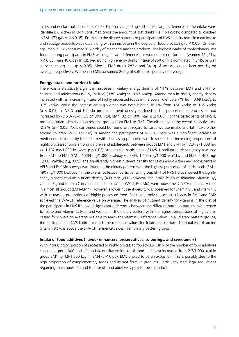juices and nectar fruit drinks ( $p \le 0.05$ ). Especially regarding soft drinks, large differences in the intake were identified. Children in EM4 consumed twice the amount of soft drinks (i.e. 154 g/day) compared to children in EM1 (73 g/day,  $p \le 0.05$ ). Examining the dietary patterns of participants of NVS II, an increase in meat intake and sausage products was noted along with an increase in the degree of food processing ( $p \le 0.05$ ). On average, men in EM5 consumed 107 g/day of meat and sausage products. The highest intake of confectionery was found among participants in EM5 with significant differences for women but not for men (women 42 g/day,  $p \le 0.05$ , men 40 g/day [n.s.]). Regarding high energy drinks, intake of soft drinks dominated in EM5, as well as beer among men ( $p \le 0.05$ ). Men in EM5 drank 282 g and 341 g of soft drinks and beer per day on average, respectively. Women in EM5 consumed 206 g of soft drinks per day on average.

#### **Energy intake and nutrient intake**

There was a statistically significant increase in dietary energy density of 14 % between EM1 and EM4 for children and adolescents (VELS, EsKiMo) (0.85 kcal/g vs. 0.97 kcal/g). Among men in NVS II, energy density increased with an increasing intake of highly processed foods in the overall diet by 8.7% from 0.69 kcal/g to 0.75 kcal/g, whilst the increase among women was even higher: 16.1% from 0.56 kcal/g to 0.65 kcal/g  $(p \le 0.05)$ . In VELS and EsKiMo protein nutrient density declined as the proportion of processed food increased by -8.6% (EM1: 35 g/1,000 kcal, EM4: 32 g/1,000 kcal,  $p \le 0.05$ ). For the participants of NVS II, protein nutrient density fell across the groups from EM1 to EM5. The difference in the overall collective was  $-2.9\%$  (p  $\leq$  0.05). No clear trends could be found with regard to carbohydrate intake and fat intake either among children (VELS, EsKiMo) or among the participants of NVS II. There was a significant increase in median nutrient density for sodium with decreasing proportions of fresh foods or increasing proportions of highly processed foods among children and adolescents between groups EM1 and EM4 by 17.3% (1,008 mg vs. 1,182 mg/1,000 kcal/day,  $p \le 0.05$ ). Among the participants of NVS II, sodium nutrient density also rose from EM1 to EM5 (EM1: 1,334 mg/1,000 kcal/day vs. EM4: 1,404 mg/1,000 kcal/day and EM5: 1,402 mg/ 1,000 kcal/day,  $p \le 0.05$ ). The significantly highest nutrient density for calcium in children and adolescents in VELS and EsKiMo surveys was found in the dietary pattern with the highest proportion of fresh foods (EM1: 490 mg/1,000 kcal/day). In the overall collective, participants in group EM1 of NVS II also showed the significantly highest calcium nutrient density (433 mg/1,000 kcal/day). The intake levels of thiamine (vitamin  $B_1$ ), vitamin  $B_{12}$  and vitamin C in children and adolescents (VELS, EsKiMo), were above the D-A-CH reference values in almost all groups (EM1–EM4). However, a lower nutrient density was observed for vitamin B<sub>12</sub> and vitamin C with increasing proportions of highly processed food. For folate, only those test subjects in EM1 and EM2 achieved the D-A-CH reference value on average. The analysis of nutrient density for vitamins in the diet of the participants in NVS II showed significant differences between the different nutrition patterns with regard to folate and vitamin C. Men and women in the dietary pattern with the highest proportions of highly processed food were on average not able to reach the vitamin C reference values. In all dietary pattern groups, the participants in NVS II did not reach the reference values for folate and calcium. The intake of thiamine (vitamin  $B_1$ ) was above the D-A-CH reference values in all dietary pattern groups.

#### **Intake of food additives (flavour enhancers, preservatives, colourings, and sweeteners)**

With increasing proportion of processed or highly processed food (VELS, EsKiMo) the number of food additives consumed per 1,000 kcal of food (= qualitative intake of food additives) increased from 2.7/1,000 kcal in group EM1 to 4.9/1,000 kcal in EM4 ( $p \le 0.05$ ). EM5 proved to be an exception. This is possibly due to the high proportion of complementary foods and instant formula products. Particularly strict legal regulations regarding to composition and the use of food additives apply to these products.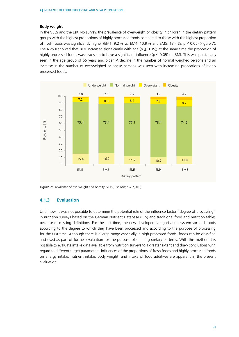#### <span id="page-32-0"></span>**Body weight**

In the VELS and the EsKiMo survey, the prevalence of overweight or obesity in children in the dietary pattern groups with the highest proportions of highly processed foods compared to those with the highest proportion of fresh foods was significantly higher (EM1: 9.2 % vs. EM4: 10.9 % and EM5: 13.4 %,  $p \le 0.05$ ) (Figure 7). The NVS II showed that BMI increased significantly with age ( $p \le 0.05$ ); at the same time the proportion of highly processed foods was also seen to have a significant influence ( $p \le 0.05$ ) on BMI. This was particularly seen in the age group of 65 years and older. A decline in the number of normal weighed persons and an increase in the number of overweighed or obese persons was seen with increasing proportions of highly processed foods.



**Figure 7:** Prevalence of overweight and obesity (VELS, EsKiMo; n = 2,010)

### **4.1.3 Evaluation**

Until now, it was not possible to determine the potential role of the influence factor "degree of processing" in nutrition surveys based on the German Nutrient Database (BLS) and traditional food and nutrition tables because of missing definitions. For the first time, the new developed categorisation system sorts all foods according to the degree to which they have been processed and according to the purpose of processing for the first time. Although there is a large range especially in high processed foods, foods can be classified and used as part of further evaluation for the purpose of defining dietary patterns. With this method it is possible to evaluate intake data available from nutrition surveys to a greater extent and draw conclusions with regard to different target parameters. Influences of the proportions of fresh foods and highly processed foods on energy intake, nutrient intake, body weight, and intake of food additives are apparent in the present evaluation.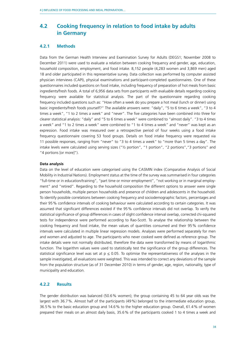# <span id="page-33-0"></span>**4.2 Cooking frequency in relation to food intake by adults in Germany**

#### **4.2.1 Methods**

Data from the German Health Interview and Examination Survey for Adults (DEGS1; November 2008 to December 2011) were used to evaluate a relation between cooking frequency and gender, age, education, household composition, employment, and food intake, 8,152 people (4,283 women and 3,869 men) aged 18 and older participated in this representative survey. Data collection was performed by computer assisted physician interviews (CAPI), physical examinations and participant-completed questionnaires. One of these questionnaires included questions on food intake, including frequency of preparation of hot meals from basic ingredients/fresh foods. A total of 6,956 data sets from participants with evaluable details regarding cooking frequency were available for statistical analysis. The part of the questionnaire regarding cooking frequency included questions such as: "How often a week do you prepare a hot meal (lunch or dinner) using basic ingredients/fresh foods yourself?" The available answers were: "daily", "5 to 6 times a week", "3 to 4 times a week", "1 to 2 times a week" and "never". The five categories have been combined into three for clearer statistical analysis: "daily" and "5 to 6 times a week" were combined to "almost daily". "3 to 4 times a week" and "1 to 2 times a week" were combined to "1 to 4 times a week" and "never" was kept as an expression. Food intake was measured over a retrospective period of four weeks using a food intake frequency questionnaire covering 53 food groups. Details on food intake frequency were requested via 11 possible responses, ranging from "never" to "3 to 4 times a week" to "more than 5 times a day". The intake levels were calculated using serving sizes ("½ portion", "1 portion", "2 portions","3 portions" and "4 portions [or more]").

#### **Data analysis**

Data on the level of education were categorised using the CASMIN index (Comparative Analysis of Social Mobility in Industrial Nations). Employment status at the time of the survey was summarised in four categories "full-time or in education/training", "part time or minor employment", "not working or in marginal employment" and "retired". Regarding to the household composition the different options to answer were single person households, multiple person households and presence of children and adolescents in the household. To identify possible correlations between cooking frequency and sociodemographic factors, percentages and their 95% confidence intervals of cooking behaviour were calculated according to certain categories. It was assumed that significant differences existed if the 95% confidence intervals did not overlap. To verify the statistical significance of group differences in cases of slight confidence interval overlap, corrected chi-squared tests for independence were performed according to Rao-Scott. To analyse the relationship between the cooking frequency and food intake, the mean values of quantities consumed and their 95% confidence intervals were calculated in multiple linear regression models. Analyses were performed separately for men and women and adjusted to age. The participants who never cooked were defined as reference group. The intake details were not normally distributed, therefore the data were transformed by means of logarithmic function. The logarithm values were used to statistically test the significance of the group differences. The statistical significance level was set at  $p \le 0.05$ . To optimise the representativeness of the analyses in the sample investigated, all evaluations were weighted. This was intended to correct any deviations of the sample from the population structure (as of 31 December 2010) in terms of gender, age, region, nationality, type of municipality and education.

#### **4.2.2 Results**

The gender distribution was balanced (50.6% women); the group containing 45 to 64 year olds was the largest with 36.7%. Almost half of the participants (49%) belonged to the intermediate education group, 36.5% to the basic education group and 14.6% to the higher education group. Overall, 61.4% of women prepared their meals on an almost daily basis, 35.6% of the participants cooked 1 to 4 times a week and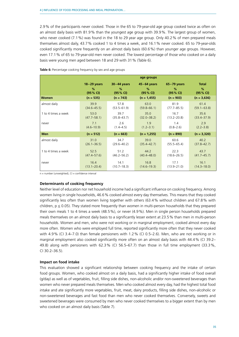2.9% of the participants never cooked. Those in the 65 to 79-year-old age group cooked twice as often on an almost daily basis with 81.9% than the youngest age group with 39.9%. The largest group of women, who never cooked (7.1%) was found in the 18 to 29 year age group. Only 40.2% of men prepared meals themselves almost daily, 43.7% cooked 1 to 4 times a week, and 16.1% never cooked. 65 to 79-year-olds cooked significantly more frequently on an almost daily basis (60.6%) than younger age groups. However, even 17.1% of 65 to 79-year-old men never cooked. The lowest percentage of those who cooked on a daily basis were young men aged between 18 and 29 with 31% (Table 6).

|                     |                 |                 | age groups      |                 |                 |
|---------------------|-----------------|-----------------|-----------------|-----------------|-----------------|
|                     | $18-29$ years   | $30-44$ years   | $45-64$ years   | $65-79$ years   | <b>Total</b>    |
|                     | $\%$            | $\%$            | %               | %               | %               |
|                     | (95% CI)        | (95% CI)        | (95% CI)        | (95% CI)        | (95% CI)        |
| <b>Women</b>        | $(n = 535)$     | $(n = 743)$     | $(n = 1, 455)$  | $(n = 903)$     | $(n = 3,636)$   |
| almost daily        | 39.9            | 57.8            | 63.0            | 81.9            | 61.4            |
|                     | $(34.6 - 45.5)$ | $(53.5 - 61.9)$ | $(59.8 - 66.1)$ | $(77.7 - 85.5)$ | $(59.1 - 63.8)$ |
| 1 to 4 times a week | 53.0            | 39.7            | 35.0            | 16.7            | 35.6            |
|                     | $(47.7 - 58.1)$ | $(35.8 - 43.7)$ | $(32.0 - 38.2)$ | $(13.2 - 20.8)$ | $(33.4 - 37.9)$ |
| never               | 7.1             | 2.6             | 1.9             | 1.4             | 2.9             |
|                     | $(4.6 - 10.9)$  | $(1.4 - 4.5)$   | $(1.2 - 3.1)$   | $(0.8 - 2.6)$   | $(2.2 - 3.8)$   |
| <b>Men</b>          | $(n = 512)$     | $(n = 663)$     | $(n = 1,255)$   | $(n = 890)$     | $(n = 3,320)$   |
| almost daily        | 31.0            | 34.7            | 39.0            | 60.6            | 40.2            |
|                     | $(26.1 - 36.5)$ | $(29.6 - 40.2)$ | $(35.4 - 42.7)$ | $(55.5 - 65.4)$ | $(37.8 - 42.7)$ |
| 1 to 4 times a week | 52.5            | 51.2            | 44.2            | 22.3            | 43.7            |
|                     | $(47.4 - 57.6)$ | $(46.2 - 56.2)$ | $(40.4 - 48.0)$ | $(18.6 - 26.5)$ | $(41.7 - 45.7)$ |
| never               | 16.4            | 14.1            | 16.8            | 17.1            | 16.1            |
|                     | $(13.1 - 20.4)$ | $(10.7 - 18.3)$ | $(14.6 - 19.3)$ | $(13.9 - 21.0)$ | $(14.3 - 18.0)$ |

**Table 6:** Percentage cooking frequency by sex and age groups

 $n =$  number (unweighted),  $C =$  confidence interval

#### **Determinants of cooking frequency**

Neither level of education nor net household income had a significant influence on cooking frequency. Among women living in single households, 46.6% cooked almost every day themselves. This means that they cooked significantly less often than women living together with others (63.4% without children and 67.8% with children,  $p \le 0.05$ ). They stated more frequently than women in multi-person households that they prepared their own meals 1 to 4 times a week (48.5%), or never (4.9%). Men in single person households prepared meals themselves on an almost daily basis to a significantly lesser extent at 23.5% than men in multi-person households. Women and men, who were not working or in marginal employment, cooked almost every day more often. Women who were employed full time, reported significantly more often that they never cooked with 4.9% (CI 3.4–7.0) than female pensioners with 1.2% (CI 0.5–2.6). Men, who are not working or in marginal employment also cooked significantly more often on an almost daily basis with 44.4% (CI 39.2– 49.8) along with pensioners with 62.3% (CI 56.5–67.7) than those in full time employment (33.3%, CI 30.2–36.5).

#### **Impact on food intake**

This evaluation showed a significant relationship between cooking frequency and the intake of certain food groups. Women, who cooked almost on a daily basis, had a significantly higher intake of food overall (g/day) as well as of vegetables, fruit, filling side dishes, non-alcoholic and/or non-sweetened beverages than women who never prepared meals themselves. Men who cooked almost every day, had the highest total food intake and ate significantly more vegetables, fruit, meat, dairy products, filling side dishes, non-alcoholic or non-sweetened beverages and fast food than men who never cooked themselves. Conversely, sweets and sweetened beverages were consumed by men who never cooked themselves to a bigger extent than by men who cooked on an almost daily basis (Table 7).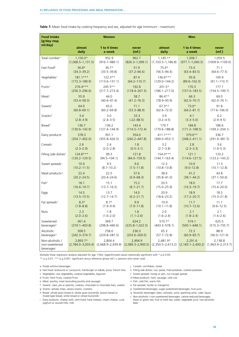| <b>Food intake</b><br>(g/day resp.                         |                                   | <b>Women</b>                     |                                  |                                 | <b>Men</b>                         |                                  |
|------------------------------------------------------------|-----------------------------------|----------------------------------|----------------------------------|---------------------------------|------------------------------------|----------------------------------|
| ml/day)                                                    | almost                            | 1 to 4 times                     | never                            | almost                          | 1 to 4 times                       | never                            |
|                                                            | daily                             | a week                           | (ref.)                           | daily                           | a week                             | (ref.)                           |
| Total number <sup>a</sup>                                  | $1,100.0*$                        | 952.9                            | 962.7                            | $1,145.1*$                      | 1,008.7                            | 1,059.5                          |
|                                                            | $(1,068.5-1,131.5)$               | $(916.7 - 989.1)$                | $(826.3 - 1,099.1)$              | $(1, 103.3 - 1, 186.8)$         | $(977.1 - 1,040.3)$                | $(1009.9 - 1109.0)$              |
| Fast Food <sup>b</sup>                                     | $36.8*$                           | $36.7*$                          | 51.9                             | $75.4*$                         | 73.4                               | 71.1                             |
|                                                            | $(34.3 - 39.2)$                   | $(33.5 - 39.8)$                  | $(37.2 - 66.6)$                  | $(56.5 - 94.4)$                 | $(63.4 - 83.5)$                    | $(64.6 - 77.5)$                  |
| Vegetables <sup>c</sup>                                    | $181.1***$                        | $122.3**$                        | 87.4                             | $136.6***$                      | 95.8                               | 100.9                            |
|                                                            | $(172.3 - 189.9)$                 | $(113.6 - 131.1)$                | $(64.2 - 110.7)$                 | $(129.0 - 144.2)$               | $(89.6 - 102.0)$                   | $(91.1 - 110.7)$                 |
| Fruits <sup>d</sup>                                        | $276.4***$                        | 245.5**                          | 192.8                            | $201.5*$                        | 170.3                              | 177.1                            |
|                                                            | $(256.3 - 296.6)$                 | $(217.7 - 273.4)$                | $(118.4 - 267.3)$                | $(186.1 - 217.0)$               | $(157.0 - 183.5)$                  | $(154.5 - 199.7)$                |
| Meat <sup>e</sup>                                          | 55.9                              | 44.0                             | 58.7                             | 86.4**                          | 66.3                               | 69.0                             |
|                                                            | $(53.4 - 58.3)$                   | $(40.6 - 47.4)$                  | $(41.2 - 76.3)$                  | $(78.9 - 93.9)$                 | $(62.0 - 70.7)$                    | $(62.0 - 76.1)$                  |
| Sweetsf                                                    | 64.9                              | 65.0                             | 71.1                             | $67.3***$                       | $73.0*$                            | 91.8                             |
|                                                            | $(60.8 - 69.1)$                   | $(60.2 - 69.8)$                  | $(53.3 - 88.9)$                  | $(62.6 - 72.0)$                 | $(64.2 - 81.7)$                    | $(77.6 - 106.0)$                 |
| Snacks <sup>9</sup>                                        | 3.4                               | 3.0                              | 33.3                             | 3.9                             | 4.1                                | 6.2                              |
|                                                            | $(2.8 - 3.9)$                     | $(2.4 - 3.5)$                    | $(-22 - 88.5)$                   | $(3.2 - 4.5)$                   | $(3.3 - 5.0)$                      | $(2.9 - 9.5)$                    |
| Breadh                                                     | 136.7                             | 136.2                            | 143.4                            | 179.7                           | 184.8                              | 186.6                            |
|                                                            | $(130.6 - 142.9)$                 | $(127.4 - 144.9)$                | $(114.5 - 172.4)$                | $(170.6 - 188.8)$               | $(171.2 - 198.5)$                  | $(169.2 - 204.1)$                |
| Dairy products <sup>i</sup>                                | 378.3                             | 391.1                            | 354.0                            | $411.1***$                      | 379.6**                            | 336.7                            |
|                                                            | $(354.7 - 402.0)$                 | $(355.8 - 426.5)$                | $(260.2 - 447.8)$                | $(369.0 - 453.1)$               | $(348.2 - 411.1)$                  | $(291.9 - 381.5)$                |
| Cerealsi                                                   | 2.6                               | 2.4                              | 1.8                              | 3.2                             | 2.8                                | 3.6                              |
|                                                            | $(2.3 - 2.9)$                     | $(2.0 - 2.8)$                    | $(0.5 - 3.1)$                    | $(2.7 - 3.8)$                   | $(2.3 - 3.3)$                      | $(1.9 - 5.3)$                    |
| Filling side dishesk                                       | $124.8***$                        | 99.3                             | 121.8                            | $154.0***$                      | 121.1                              | 133.2                            |
|                                                            | $(120.2 - 129.5)$                 | $(94.5 - 104.1)$                 | $(84.0 - 159.5)$                 | $(144.7 - 163.4)$               | $(114.6 - 127.5)$                  | $(123.2 - 143.2)$                |
| Sweet spreads <sup>1</sup>                                 | 10.9                              | 9.5                              | 9.6                              | 12.3                            | 10.9                               | 11.5                             |
|                                                            | $(10.2 - 11.5)$                   | $(8.7 - 10.2)$                   | $(7.5 - 11.8)$                   | $(10.8 - 13.8)$                 | $(9.0 - 12.8)$                     | $(10.1 - 12.8)$                  |
| Meat products <sup>m</sup>                                 | 22.4                              | 22.5                             | 37.6                             | 38.4                            | 41.2                               | 43.8                             |
|                                                            | $(20.2 - 24.5)$                   | $(20.4 - 24.6)$                  | $(6.9 - 68.3)$                   | $(35.8 - 41.0)$                 | $(38.1 - 44.2)$                    | $(37.1 - 50.6)$                  |
| Fish <sup>n</sup>                                          | 18.1                              | 15.1                             | 15.2                             | 20.5                            | 18.0                               | 17.7                             |
|                                                            | $(16.6 - 19.7)$                   | $(13.7 - 16.5)$                  | $(8.7 - 21.7)$                   | $(15.0 - 25.9)$                 | $(16.3 - 19.7)$                    | $(15.4 - 20.0)$                  |
| Eggs                                                       | 14.5                              | 13.7                             | 14.0                             | 20.9                            | 18.9                               | 18.5                             |
|                                                            | $(13.5 - 15.5)$                   | $(12.7 - 14.7)$                  | $(6.2 - 21.7)$                   | $(18.6 - 23.2)$                 | $(17.2 - 20.7)$                    | $(15.3 - 21.8)$                  |
| Fat spreads <sup>o</sup>                                   | $8.3*$                            | $8.7*$                           | 9.9                              | 10.9                            | 11.7                               | 11.1                             |
|                                                            | $(7.8 - 8.8)$                     | $(7.9 - 9.4)$                    | $(7.9 - 11.8)$                   | $(10.1 - 11.8)$                 | $(10.7 - 12.6)$                    | $(9.6 - 12.5)$                   |
| Nuts                                                       | 2.3                               | 1.8                              | 1.8                              | 2.0                             | 2.1                                | 2.1                              |
|                                                            | $(2.0 - 2.6)$                     | $(1.6 - 2.0)$                    | $(1.1 - 2.6)$                    | $(1.6 - 2.4)$                   | $(1.8 - 2.4)$                      | $(1.6 - 2.6)$                    |
| Sweetened                                                  | 361.4                             | 369.7                            | 624.2                            | 510.7*                          | 574.1                              | 625.5                            |
| beverages <sup>p</sup>                                     | $(319.1 - 403.8)$                 | $(298.8 - 440.6)$                | $(225.8 - 1, 022.5)$             | $(443.3 - 578.1)$               | $(500.1 - 648.1)$                  | $(515.3 - 735.7)$                |
| Alcoholic                                                  | 308.5                             | 258.0                            | 236.3                            | 65.3                            | 72.3                               | 88.9                             |
| beverages <sup>q</sup>                                     | $(242.3 - 374.7)$                 | $(229.8 - 287.5)$                | $(203.6 - 269.0)$                | $(57.7 - 72.8)$                 | $(60.9 - 83.7)$                    | $(56.0 - 121.9)$                 |
| Non-alcoholic /<br>non-sweetened<br>beverages <sup>r</sup> | 2,893.7*<br>$(2,784.0 - 3,003.4)$ | 2,804.4<br>$(2,668.9 - 2,939.9)$ | 2,494.9<br>$(2,089.3 - 2,900.5)$ | 2,481.9*<br>$(2,350.5-2,613.2)$ | 2,291.6<br>$(2, 183.1 - 2, 400.2)$ | 2,138.8<br>$(1,963.9 - 2,313.7)$ |

**Table 7:** Mean food intake by cooking frequency and sex, adjusted for age (minimum – maximum)

Multiple linear regression analysis adjusted for age. T-Test: logarithmized values statistically significant with  $*$  p  $\leq$  0.05;

\*\*  $p \le 0.01$ ; \*\*\*  $p \le 0.001$ : significant versus reference group (ref.) = persons who never cook

a Foods without beverages

- b Fast Food: bratwurst or currywurst, hamburger or kebab, pizza, French fries
- c Vegetables: raw vegetables, cooked vegetables, legumes
- d Fruits: fresh fruits, cooked fruits
- e Meat: poultry, meat (excluding poultry and sausage)
- f Sweets: cake, pie or pastries, cookies, chocolate or chocolate bars, sweets g Snacks: potato chips, savory snacks, crackers
- h Bread: whole grain bread or whole grain buns/rolls, brown bread or
- mixed-type bread, white bread or wheat buns/rolls i Dairy products: cheese (soft, semi-hard, hard cheese), cream cheese, curd,
- yoghurt or soured milk, milk
- j Cereals: cornflakes, cereal
- k Filling side dishes: rice, pasta, fried potatoes, cooked potatoes
- l Sweet spreads: honey or jam, nut nougat spread
- m Meat products: ham, sausage, cold cuts
- n Fish: cold fish, warm fish
- o Fat spreads: butter or margarine
- p Sweetened beverages: sugar sweetened beverages, fruit juice
- q Alcoholic beverages: beer, cocktails, wine, sparkling wine, cider, liquor
- r Non-alcoholic / non-sweetened beverages: calorie-reduced beverages, black or green tea, fruit or herb tea, water, vegetable juice, non-alcoholic beer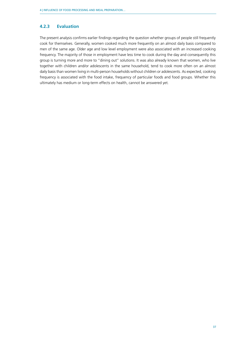### <span id="page-36-0"></span>**4.2.3 Evaluation**

The present analysis confirms earlier findings regarding the question whether groups of people still frequently cook for themselves. Generally, women cooked much more frequently on an almost daily basis compared to men of the same age. Older age and low level employment were also associated with an increased cooking frequency. The majority of those in employment have less time to cook during the day and consequently this group is turning more and more to "dining out" solutions. It was also already known that women, who live together with children and/or adolescents in the same household, tend to cook more often on an almost daily basis than women living in multi-person households without children or adolescents. As expected, cooking frequency is associated with the food intake, frequency of particular foods and food groups. Whether this ultimately has medium or long-term effects on health, cannot be answered yet.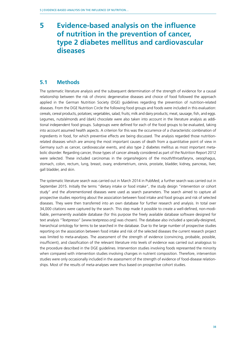# <span id="page-37-0"></span>**5 Evidence-based analysis on the influence of nutrition in the prevention of cancer, type 2 diabetes mellitus and cardiovascular diseases**

# **5.1 Methods**

The systematic literature analysis and the subsequent determination of the strength of evidence for a causal relationship between the risk of chronic degenerative diseases and choice of food followed the approach applied in the German Nutrition Society (DGE) guidelines regarding the prevention of nutrition-related diseases. From the DGE Nutrition Circle the following food groups and foods were included in this evaluation: cereals, cereal products, potatoes; vegetables, salad; fruits; milk and dairy products; meat, sausage, fish, and eggs. Legumes, nuts/almonds and (dark) chocolate were also taken into account in the literature analysis as additional independent food groups. Subgroups were defined for each of the food groups to be evaluated, taking into account assumed health aspects. A criterion for this was the occurrence of a characteristic combination of ingredients in food, for which preventive effects are being discussed. The analysis regarded those nutritionrelated diseases which are among the most important causes of death from a quantitative point of view in Germany such as cancer, cardiovascular events, and also type 2 diabetes mellitus as most important metabolic disorder. Regarding cancer, those types of cancer already considered as part of the Nutrition Report 2012 were selected. These included carcinomas in the organs/regions of the mouth/throat/larynx, oesophagus, stomach, colon, rectum, lung, breast, ovary, endometrium, cervix, prostate, bladder, kidney, pancreas, liver, gall bladder, and skin.

The systematic literature search was carried out in March 2014 in PubMed; a further search was carried out in September 2015. Initially the terms "dietary intake or food intake", the study design "intervention or cohort study" and the aforementioned diseases were used as search parameters. The search aimed to capture all prospective studies reporting about the association between food intake and food groups and risk of selected diseases. They were then transferred into an own database for further research and analysis. In total over 34,000 citations were captured by the search. This step made it possible to create a well-defined, non-modifiable, permanently available database (for this purpose the freely available database software designed for text analysis "Textpresso" [www.textpresso.org] was chosen). The database also included a specially-designed, hierarchical ontology for terms to be searched in the database. Due to the large number of prospective studies reporting on the association between food intake and risk of the selected diseases the current research project was limited to meta-analyses. The assessment of the strength of evidence (convincing, probable, possible, insufficient), and classification of the relevant literature into levels of evidence was carried out analogous to the procedure described in the DGE guidelines. Intervention studies involving foods represented the minority when compared with intervention studies involving changes in nutrient composition. Therefore, intervention studies were only occasionally included in the assessment of the strength of evidence of food-disease relationships. Most of the results of meta-analyses were thus based on prospective cohort studies.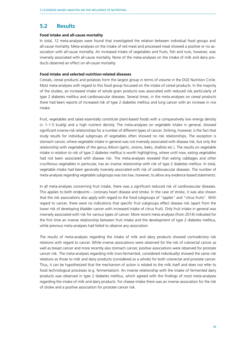### <span id="page-38-0"></span>**5.2 Results**

#### **Food intake and all-cause mortality**

In total, 12 meta-analyses were found that investigated the relation between individual food groups and all-cause mortality. Meta-analyses on the intake of red meat and processed meat showed a positive or no association with all-cause mortality. An increased intake of vegetables and fruits, fish and nuts, however, was inversely associated with all-cause mortality. None of the meta-analyses on the intake of milk and dairy products observed an effect on all-cause mortality.

#### **Food intake and selected nutrition-related diseases**

Cereals, cereal products and potatoes form the largest group in terms of volume in the DGE Nutrition Circle. Most meta-analyses with regard to this food group focussed on the intake of cereal products. In the majority of the studies, an increased intake of whole grain products was associated with reduced risk particularly of type 2 diabetes mellitus and cardiovascular diseases. Several times, in the meta-analyses on cereal products there had been reports of increased risk of type 2 diabetes mellitus and lung cancer with an increase in rice intake.

Fruit, vegetables and salad essentially constitute plant-based foods with a comparatively low energy density (< 1–1.5 kcal/g) and a high nutrient density. The meta-analyses on vegetable intake in general, showed significant inverse risk relationships for a number of different types of cancer. Striking, however, is the fact that study results for individual subgroups of vegetables often showed no risk relationships. The exception is stomach cancer, where vegetable intake in general was not inversely associated with disease risk, but only the relationship with vegetables of the genus *Allium* (garlic, onions, leeks, shallots etc.). The results on vegetable intake in relation to risk of type 2 diabetes mellitus is worth highlighting, where until now, eating vegetables had not been associated with disease risk. The meta-analyses revealed that eating cabbages and other cruciferous vegetables in particular, has an inverse relationship with risk of type 2 diabetes mellitus. In total, vegetable intake had been generally inversely associated with risk of cardiovascular diseases. The number of meta-analyses regarding vegetable subgroups was too low, however, to allow any evidence-based statements.

In all meta-analyses concerning fruit intake, there was a significant reduced risk of cardiovascular diseases. This applies to both endpoints – coronary heart disease and stroke. In the case of stroke, it was also shown that the risk associations also apply with regard to the food subgroups of "apples" and "citrus fruits". With regard to cancer, there were no indications that specific fruit subgroups effect disease risk (apart from the lower risk of developing bladder cancer with increased intake of citrus fruit). Only fruit intake in general was inversely associated with risk for various types of cancer. More recent meta-analyses (from 2014) indicated for the first time an inverse relationship between fruit intake and the development of type 2 diabetes mellitus, while previous meta-analyses had failed to observe any association.

The results of meta-analyses regarding the intake of milk and dairy products showed contradictory risk relations with regard to cancer. While inverse associations were observed for the risk of colorectal cancer as well as breast cancer and more recently also stomach cancer, positive associations were observed for prostate cancer risk. The meta-analyses regarding milk (non-fermented, considered individually) showed the same risk relations as those to milk and dairy products (considered as a whole) for both colorectal and prostate cancer. Thus, it can be hypothesized that the mechanism of action is related to the milk itself and does not refer to food technological processes (e.g. fermentation). An inverse relationship with the intake of fermented dairy products was observed in type 2 diabetes mellitus, which agreed with the findings of most meta-analyses regarding the intake of milk and dairy products. For cheese intake there was an inverse association for the risk of stroke and a positive association for prostate cancer risk.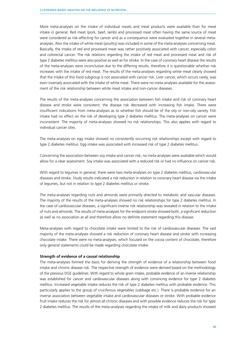More meta-analyses on the intake of individual meats and meat products were available than for meat intake in general. Red meat (pork, beef, lamb) and processed meat often having the same source of meat were considered as risk-affecting for cancer and as a consequence were evaluated together in several metaanalyses. Also the intake of white meat (poultry) was included in some of the meta-analyses concerning meat. Basically, the intake of red and processed meat was rather positively associated with cancer, especially colon and colorectal cancer. The risk relations regarding the intake of red meat and processed meat and risk of type 2 diabetes mellitus were also positive as well as for stroke. In the case of coronary heart disease the results of the meta-analyses were inconclusive due to the differing results, therefore it is questionable whether risk increases with the intake of red meat. The results of the meta-analyses regarding white meat clearly showed that the intake of this food subgroup is not associated with cancer risk. Liver cancer, which occurs rarely, was even inversely associated with the intake of white meat. There were no meta-analyses available for the assessment of the risk relationship between white meat intake and non-cancer diseases.

The results of the meta-analyses concerning the association between fish intake and risk of coronary heart disease and stroke were consistent: the disease risk decreased with increasing fish intake. There were insufficient indications from meta-analyses as to whether fish should be of the oily or non-oily variety. Fish intake had no effect on the risk of developing type 2 diabetes mellitus. The meta-analyses on cancer were inconsistent. The majority of meta-analyses showed no risk relationships. This also applies with regard to individual cancer sites.

The meta-analyses on egg intake showed no consistently occurring risk relationships except with regard to type 2 diabetes mellitus. Egg intake was associated with increased risk of type 2 diabetes mellitus.

Concerning the association between soy intake and cancer risk, no meta-analyses were available which would allow for a clear assessment. Soy intake was associated with a reduced risk or had no influence on cancer risk.

With regard to legumes in general, there were two meta-analyses on type 2 diabetes mellitus, cardiovascular diseases and stroke. Study results indicated a risk reduction in relation to coronary heart disease via the intake of legumes, but not in relation to type 2 diabetes mellitus or stroke.

The meta-analyses regarding nuts and almonds were primarily directed to metabolic and vascular diseases. The majority of the results of the meta-analyses showed no risk relationships for type 2 diabetes mellitus. In the case of cardiovascular diseases, a significant inverse risk relationship was revealed in relation to the intake of nuts and almonds. The results of meta-analyses for the endpoint stroke showed both, a significant reduction as well as no association at all and therefore allow no definite statement regarding this disease.

Meta-analyses with regard to chocolate intake were limited to the risk of cardiovascular diseases. The vast majority of the meta-analyses showed a risk reduction of coronary heart disease and stroke with increasing chocolate intake. There were no meta-analyses, which focused on the cocoa content of chocolate, therefore only general statements could be made regarding chocolate intake.

#### **Strength of evidence of a causal relationship**

The meta-analyses formed the basis for deriving the strength of evidence of a relationship between food intake and chronic disease risk. The respective strength of evidence were derived based on the methodology of the previous DGE guidelines. With regard to whole grain intake, probable evidence of an inverse relationship was established for cancer and cardiovascular diseases along with convincing evidence for type 2 diabetes mellitus. Increased vegetable intake reduces the risk of type 2 diabetes mellitus with probable evidence. This particularly applies to the group of cruciferous vegetables (cabbage etc.). There is probable evidence for an inverse association between vegetable intake and cardiovascular diseases or stroke. With probable evidence fruit intake reduces the risk for almost all chronic diseases and with possible evidence reduces the risk for type 2 diabetes mellitus. The results of the meta-analyses regarding the intake of milk and dairy products showed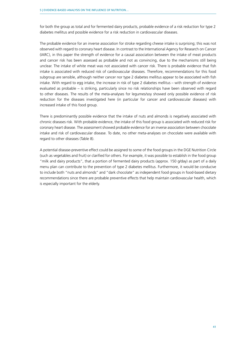for both the group as total and for fermented dairy products, probable evidence of a risk reduction for type 2 diabetes mellitus and possible evidence for a risk reduction in cardiovascular diseases.

The probable evidence for an inverse association for stroke regarding cheese intake is surprising; this was not observed with regard to coronary heart disease. In contrast to the International Agency for Research on Cancer (IARC), in this paper the strength of evidence for a causal association between the intake of meat products and cancer risk has been assessed as probable and not as convincing, due to the mechanisms still being unclear. The intake of white meat was not associated with cancer risk. There is probable evidence that fish intake is associated with reduced risk of cardiovascular diseases. Therefore, recommendations for this food subgroup are sensible, although neither cancer nor type 2 diabetes mellitus appear to be associated with fish intake. With regard to egg intake, the increase in risk of type 2 diabetes mellitus – with strength of evidence evaluated as probable – is striking, particularly since no risk relationships have been observed with regard to other diseases. The results of the meta-analyses for legumes/soy showed only possible evidence of risk reduction for the diseases investigated here (in particular for cancer and cardiovascular diseases) with increased intake of this food group.

There is predominantly possible evidence that the intake of nuts and almonds is negatively associated with chronic diseases risk. With probable evidence, the intake of this food group is associated with reduced risk for coronary heart disease. The assessment showed probable evidence for an inverse association between chocolate intake and risk of cardiovascular disease. To date, no other meta-analyses on chocolate were available with regard to other diseases (Table 8).

A potential disease-preventive effect could be assigned to some of the food groups in the DGE Nutrition Circle (such as vegetables and fruit) or clarified for others. For example, it was possible to establish in the food group "milk and dairy products", that a portion of fermented dairy products (approx. 150 g/day) as part of a daily menu plan can contribute to the prevention of type 2 diabetes mellitus. Furthermore, it would be conducive to include both "nuts and almonds" and "dark chocolate" as independent food groups in food-based dietary recommendations since there are probable preventive effects that help maintain cardiovascular health, which is especially important for the elderly.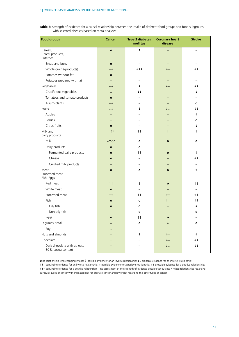| Table 8: Strength of evidence for a causal relationship between the intake of different food groups and food subgroups |  |  |
|------------------------------------------------------------------------------------------------------------------------|--|--|
| with selected diseases based on meta-analyses                                                                          |  |  |

| <b>Food groups</b>                                | <b>Cancer</b>          | <b>Type 2 diabetes</b><br>mellitus | <b>Coronary heart</b><br>disease | <b>Stroke</b>           |
|---------------------------------------------------|------------------------|------------------------------------|----------------------------------|-------------------------|
| Cereals,<br>Cereal products,<br>Potatoes          | $\bullet$              | $\uparrow$                         |                                  |                         |
| Bread and buns                                    | $\mathbf{o}$           |                                    |                                  |                         |
| Whole grain (-products)                           | $\uparrow \uparrow$    | $+++$                              | $\downarrow \downarrow$          | t t                     |
| Potatoes without fat                              | $\mathbf{o}$           |                                    |                                  |                         |
| Potatoes prepared with fat                        |                        |                                    |                                  |                         |
| Vegetables                                        | $\uparrow \uparrow$    | $\downarrow$                       | $\downarrow \downarrow$          | $\uparrow \uparrow$     |
| Cruciferous vegetables                            | $\ddagger$             | $++$                               |                                  | t                       |
| Tomatoes and tomato products                      | $\mathbf{o}$           |                                    |                                  |                         |
| Allium-plants                                     | $\downarrow\downarrow$ |                                    |                                  | o                       |
| Fruits                                            | $++$                   | t                                  | $\downarrow \downarrow$          | t t                     |
| Apples                                            |                        |                                    |                                  | $\downarrow$            |
| <b>Berries</b>                                    |                        |                                    |                                  | $\mathbf o$             |
| Citrus fruits                                     | $\mathbf{o}$           |                                    |                                  | Ť                       |
| Milk and                                          | $+ \uparrow$ *         | $++$                               |                                  | T                       |
| dairy products                                    |                        |                                    |                                  |                         |
| Milk                                              | $+10*$                 | $\mathbf{o}$                       | $\mathbf{o}$                     | $\mathbf o$             |
| Dairy products                                    | $\mathbf{o}$           | o                                  |                                  |                         |
| Fermented dairy products                          | $\mathbf{o}$           | $+1$                               | $\mathbf{o}$                     | ↓                       |
| Cheese                                            | $\mathbf{o}$           |                                    |                                  | $++$                    |
| Curdled milk products                             |                        |                                    |                                  |                         |
| Meat,<br>Processed meat,<br>Fish, Eggs            | $\mathbf{o}$           | $\mathbf{o}$                       | $\mathbf{o}$                     | $\uparrow$              |
| Red meat                                          | † <sup>†</sup>         | $\uparrow$                         | $\mathbf{o}$                     | † <sup>†</sup>          |
| White meat                                        | $\mathbf{o}$           |                                    |                                  |                         |
| Processed meat                                    | $\uparrow \uparrow$    | tt.                                | $\uparrow \uparrow$              | tt.                     |
| Fish                                              | $\mathbf{o}$           | $\mathbf{o}$                       | $\downarrow \downarrow$          | $\downarrow \downarrow$ |
| Oily fish                                         | $\mathbf{o}$           | o                                  |                                  | ↓                       |
| Non-oily fish                                     |                        | $\mathbf{o}$                       |                                  | $\mathbf o$             |
| Eggs                                              | $\mathbf{o}$           | † <sup>†</sup>                     | $\mathbf{o}$                     |                         |
| Legumes, total                                    |                        | $\mathbf{o}$                       |                                  | $\mathbf o$             |
| Soy                                               |                        |                                    |                                  |                         |
| Nuts and almonds                                  |                        | ↓                                  | $++$                             | Ť                       |
| Chocolate                                         |                        |                                    | $\downarrow \downarrow$          | t t                     |
| Dark chocolate with at least<br>50% cocoa content |                        |                                    | $\uparrow \uparrow$              | $++$                    |

**O** no relationship with changing intake; ↓ possible evidence for an inverse relationship; ↓↓ probable evidence for an inverse relationship;  $\downarrow\downarrow\downarrow$  convincing evidence for an inverse relationship; 1 possible evidence for a positive relationship; 11 probable evidence for a positive relationship; 111 convincing evidence for a positive relationship; – no assessment of the strength of evidence possible/conducted; \* mixed relationships regarding particular types of cancer with increased risk for prostate cancer and lower risk regarding the other types of cancer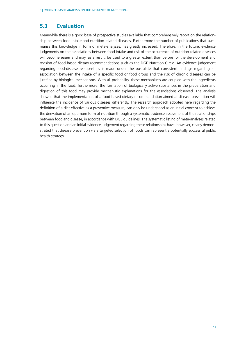# <span id="page-42-0"></span>**5.3 Evaluation**

Meanwhile there is a good base of prospective studies available that comprehensively report on the relationship between food intake and nutrition-related diseases. Furthermore the number of publications that summarise this knowledge in form of meta-analyses, has greatly increased. Therefore, in the future, evidence judgements on the associations between food intake and risk of the occurrence of nutrition-related diseases will become easier and may, as a result, be used to a greater extent than before for the development and revision of food-based dietary recommendations such as the DGE Nutrition Circle. An evidence judgement regarding food-disease relationships is made under the postulate that consistent findings regarding an association between the intake of a specific food or food group and the risk of chronic diseases can be justified by biological mechanisms. With all probability, these mechanisms are coupled with the ingredients occurring in the food; furthermore, the formation of biologically active substances in the preparation and digestion of this food may provide mechanistic explanations for the associations observed. The analysis showed that the implementation of a food-based dietary recommendation aimed at disease prevention will influence the incidence of various diseases differently. The research approach adopted here regarding the definition of a diet effective as a preventive measure, can only be understood as an initial concept to achieve the derivation of an optimum form of nutrition through a systematic evidence assessment of the relationships between food and disease, in accordance with DGE guidelines. The systematic listing of meta-analyses related to this question and an initial evidence judgement regarding these relationships have, however, clearly demonstrated that disease prevention via a targeted selection of foods can represent a potentially successful public health strategy.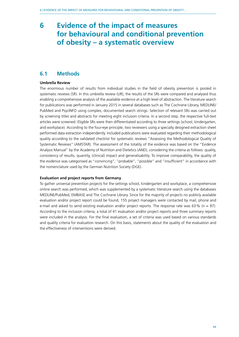# <span id="page-43-0"></span>**6 Evidence of the impact of measures for behavioural and conditional prevention of obesity – a systematic overview**

### **6.1 Methods**

#### **Umbrella Review**

The enormous number of results from individual studies in the field of obesity prevention is pooled in systematic reviews (SR). In this umbrella review (UR), the results of the SRs were compared and analysed thus enabling a comprehensive analysis of the available evidence at a high level of abstraction. The literature search for publications was performed in January 2015 in several databases such as The Cochrane Library, MEDLINE/ PubMed and PsycINFO using complex, documented search strings. Selection of relevant SRs was carried out by screening titles and abstracts for meeting eight inclusion criteria. In a second step, the respective full-text articles were screened. Eligible SRs were then differentiated according to three settings (school, kindergarten, and workplace). According to the four-eye principle, two reviewers using a specially designed extraction sheet performed data extraction independently. Included publications were evaluated regarding their methodological quality according to the validated checklist for systematic reviews "Assessing the Methodological Quality of Systematic Reviews" (AMSTAR). The assessment of the totality of the evidence was based on the "Evidence Analysis Manual" by the Academy of Nutrition and Dietetics (AND), considering the criteria as follows: quality, consistency of results, quantity, (clinical) impact and generalisability. To improve comparability, the quality of the evidence was categorised as "convincing", "probable", "possible" and "insufficient" in accordance with the nomenclature used by the German Nutrition Society (DGE).

#### **Evaluation and project reports from Germany**

To gather universal prevention projects for the settings school, kindergarten and workplace, a comprehensive online search was performed, which was supplemented by a systematic literature search using the databases MEDLINE/PubMed, EMBASE and The Cochrane Library. Since for the majority of projects no publicly available evaluation and/or project report could be found, 155 project managers were contacted by mail, phone and e-mail and asked to send existing evaluation and/or project reports. The response rate was 63% ( $n = 97$ ). According to the inclusion criteria, a total of 41 evaluation and/or project reports and three summary reports were included in the analysis. For the final evaluation, a set of criteria was used based on various standards and quality criteria for evaluation research. On this basis, statements about the quality of the evaluation and the effectiveness of interventions were derived.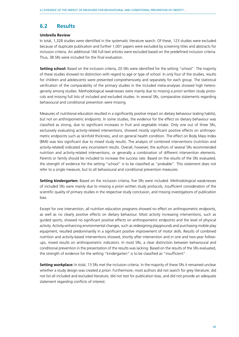# <span id="page-44-0"></span>**6.2 Results**

#### **Umbrella Review**

In total, 1,328 studies were identified in the systematic literature search. Of these, 123 studies were excluded because of duplicate publication and further 1,001 papers were excluded by screening titles and abstracts for inclusion criteria. An additional 166 full-text articles were excluded based on the predefined inclusion criteria. Thus, 38 SRs were included for the final evaluation.

**Setting school:** Based on the inclusion criteria, 20 SRs were identified for the setting "school". The majority of these studies showed no distinction with regard to age or type of school. In only four of the studies, results for children and adolescents were presented comprehensively and separately for each group. The statistical verification of the comparability of the primary studies in the included meta-analyses showed high heterogeneity among studies. Methodological weaknesses were mainly due to missing *a priori* written study protocols and missing full lists of included and excluded studies. In several SRs, comparative statements regarding behavioural and conditional prevention were missing.

Measures of nutritional education resulted in a significantly positive impact on dietary behaviour (eating habits), but not on anthropometric endpoints. In some studies, the evidence for the effect on dietary behaviour was classified as strong, due to significant increases in fruit and vegetable intake. Only one out of three SRs, exclusively evaluating activity-related interventions, showed mostly significant positive effects on anthropometric endpoints such as skinfold thickness, and on general health condition. The effect on Body Mass Index (BMI) was less significant due to mixed study results. The analysis of combined interventions (nutrition and activity-related) indicated very inconsistent results. Overall, however, the authors of several SRs recommended nutrition and activity-related interventions, or generally a combination of different intervention elements. Parents or family should be included to increase the success rate. Based on the results of the SRs evaluated, the strength of evidence for the setting "school" is to be classified as "probable". This statement does not refer to a single measure, but to all behavioural and conditional prevention measures.

**Setting kindergarten:** Based on the inclusion criteria, five SRs were included. Methodological weaknesses of included SRs were mainly due to missing *a priori* written study protocols, insufficient consideration of the scientific quality of primary studies in the respective study conclusion, and missing investigations of publication bias.

Except for one intervention, all nutrition education programs showed no effect on anthropometric endpoints, as well as no clearly positive effects on dietary behaviour. Most activity increasing interventions, such as guided sports, showed no significant positive effects on anthropometric endpoints and the level of physical activity. Activity-enhancing environmental changes, such as redesigning playgrounds and purchasing mobile play equipment, resulted predominantly in a significant positive improvement of motor skills. Results of combined nutrition and activity-based interventions showed, shortly after intervention and in one and two-year followups, mixed results on anthropometric indicators. In most SRs, a clear distinction between behavioural and conditional prevention in the presentation of the results was lacking. Based on the results of the SRs evaluated, the strength of evidence for the setting "kindergarten" is to be classified as "insufficient".

**Setting workplace:** In total, 13 SRs met the inclusion criteria. In the majority of these SRs it remained unclear whether a study design was created *a priori*. Furthermore, most authors did not search for grey literature, did not list all included and excluded literature, did not test for publication bias, and did not provide an adequate statement regarding conflicts of interest.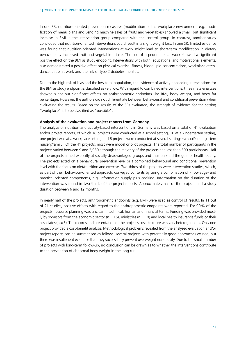In one SR, nutrition-oriented prevention measures (modification of the workplace environment, e.g. modification of menu plans and vending machine sales of fruits and vegetables) showed a small, but significant increase in BMI in the intervention group compared with the control group. In contrast, another study concluded that nutrition-oriented interventions could result in a slight weight loss. In one SR, limited evidence was found that nutrition-oriented interventions at work might lead to short-term modification in dietary behaviour by increased fruit and vegetable intake. The use of a pedometer at work showed a significant positive effect on the BMI as study endpoint. Interventions with both, educational and motivational elements, also demonstrated a positive effect on physical exercise, fitness, blood lipid concentrations, workplace attendance, stress at work and the risk of type 2 diabetes mellitus.

Due to the high risk of bias and the low total population, the evidence of activity-enhancing interventions for the BMI as study endpoint is classified as very low. With regard to combined interventions, three meta-analyses showed slight but significant effects on anthropometric endpoints like BMI, body weight, and body fat percentage. However, the authors did not differentiate between behavioural and conditional prevention when evaluating the results. Based on the results of the SRs evaluated, the strength of evidence for the setting "workplace" is to be classified as "possible".

#### **Analysis of the evaluation and project reports from Germany**

The analysis of nutrition and activity-based interventions in Germany was based on a total of 41 evaluation and/or project reports, of which 18 projects were conducted at a school setting, 16 at a kindergarten setting, one project was at a workplace setting and 6 projects were conducted at several settings (school/kindergarten/ nursery/family). Of the 41 projects, most were model or pilot projects. The total number of participants in the projects varied between 9 and 2,950 although the majority of the projects had less than 500 participants. Half of the projects aimed explicitly at socially disadvantaged groups and thus pursued the goal of health equity. The projects acted on a behavioural prevention level or a combined behavioural and conditional prevention level with the focus on diet/nutrition and exercise. Two-thirds of the projects were intervention studies, which, as part of their behaviour-oriented approach, conveyed contents by using a combination of knowledge- and practical-oriented components, e.g. information supply plus cooking. Information on the duration of the intervention was found in two-thirds of the project reports. Approximately half of the projects had a study duration between 6 and 12 months.

In nearly half of the projects, anthropometric endpoints (e.g. BMI) were used as control of results. In 11 out of 21 studies, positive effects with regard to the anthropometric endpoints were reported. For 90% of the projects, resource planning was unclear in technical, human and financial terms. Funding was provided most-Iv by sponsors from the economic sector ( $n = 15$ ), ministries ( $n = 10$ ) and local health insurance funds or their associates (n = 3). The records and presentation of the project's cost structure was very heterogeneous. Only one project provided a cost-benefit analysis. Methodological problems revealed from the analysed evaluation and/or project reports can be summarized as follows: several projects with potentially good approaches existed, but there was insufficient evidence that they successfully prevent overweight nor obesity. Due to the small number of projects with long-term follow-up, no conclusion can be drawn as to whether the interventions contribute to the prevention of abnormal body weight in the long run.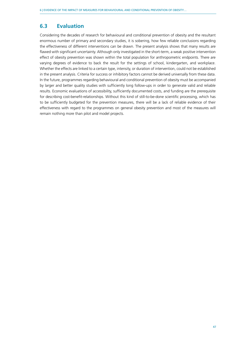# <span id="page-46-0"></span>**6.3 Evaluation**

Considering the decades of research for behavioural and conditional prevention of obesity and the resultant enormous number of primary and secondary studies, it is sobering, how few reliable conclusions regarding the effectiveness of different interventions can be drawn. The present analysis shows that many results are flawed with significant uncertainty. Although only investigated in the short-term, a weak positive intervention effect of obesity prevention was shown within the total population for anthropometric endpoints. There are varying degrees of evidence to back the result for the settings of school, kindergarten, and workplace. Whether the effects are linked to a certain type, intensity, or duration of intervention, could not be established in the present analysis. Criteria for success or inhibitory factors cannot be derived universally from these data. In the future, programmes regarding behavioural and conditional prevention of obesity must be accompanied by larger and better quality studies with sufficiently long follow-ups in order to generate valid and reliable results. Economic evaluations of accessibility, sufficiently documented costs, and funding are the prerequisite for describing cost-benefit-relationships. Without this kind of still-to-be-done scientific processing, which has to be sufficiently budgeted for the prevention measures, there will be a lack of reliable evidence of their effectiveness with regard to the programmes on general obesity prevention and most of the measures will remain nothing more than pilot and model projects.